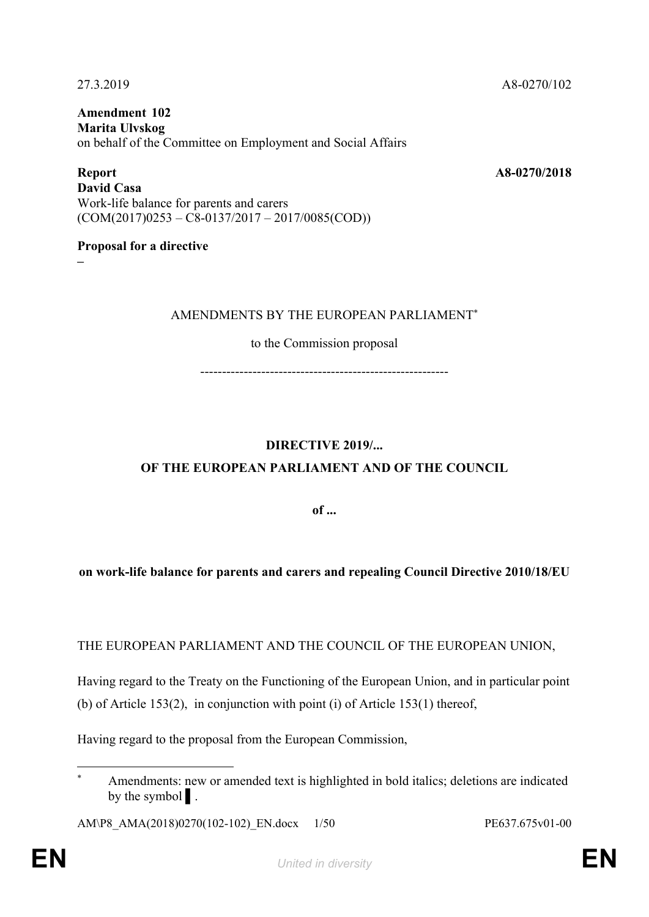**Amendment 102 Marita Ulvskog** on behalf of the Committee on Employment and Social Affairs

**Report A8-0270/2018 David Casa** Work-life balance for parents and carers  $(COM(2017)0253 - C8 - 0137/2017 - 2017/0085(COD))$ 

#### **Proposal for a directive**

**–**

#### AMENDMENTS BY THE EUROPEAN PARLIAMENT\*

to the Commission proposal

---------------------------------------------------------

## **DIRECTIVE 2019/...**

## **OF THE EUROPEAN PARLIAMENT AND OF THE COUNCIL**

**of ...**

## **on work-life balance for parents and carers and repealing Council Directive 2010/18/EU**

THE EUROPEAN PARLIAMENT AND THE COUNCIL OF THE EUROPEAN UNION,

Having regard to the Treaty on the Functioning of the European Union, and in particular point (b) of Article 153(2), in conjunction with point (i) of Article 153(1) thereof,

Having regard to the proposal from the European Commission,

AM\P8\_AMA(2018)0270(102-102)\_EN.docx 1/50 PE637.675v01-00

<sup>\*</sup> Amendments: new or amended text is highlighted in bold italics; deletions are indicated by the symbol | .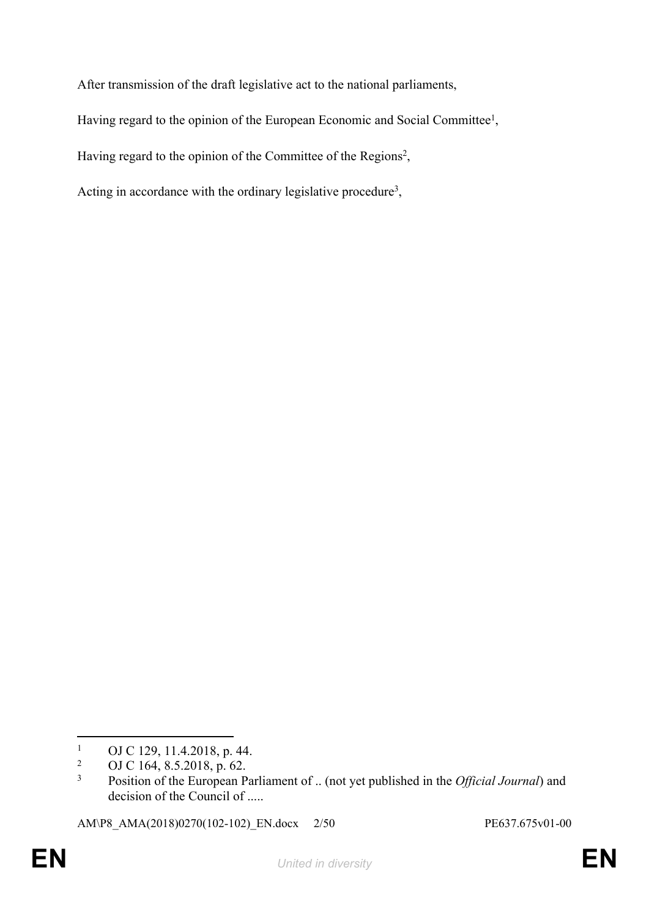After transmission of the draft legislative act to the national parliaments,

Having regard to the opinion of the European Economic and Social Committee<sup>1</sup>,

Having regard to the opinion of the Committee of the Regions<sup>2</sup>,

Acting in accordance with the ordinary legislative procedure<sup>3</sup>,

AM\P8\_AMA(2018)0270(102-102)\_EN.docx 2/50 PE637.675v01-00

 $\frac{1}{2}$  OJ C 129, 11.4.2018, p. 44.

<sup>2</sup> OJ C 164, 8.5.2018, p. 62.

<sup>3</sup> Position of the European Parliament of .. (not yet published in the *Official Journal*) and decision of the Council of .....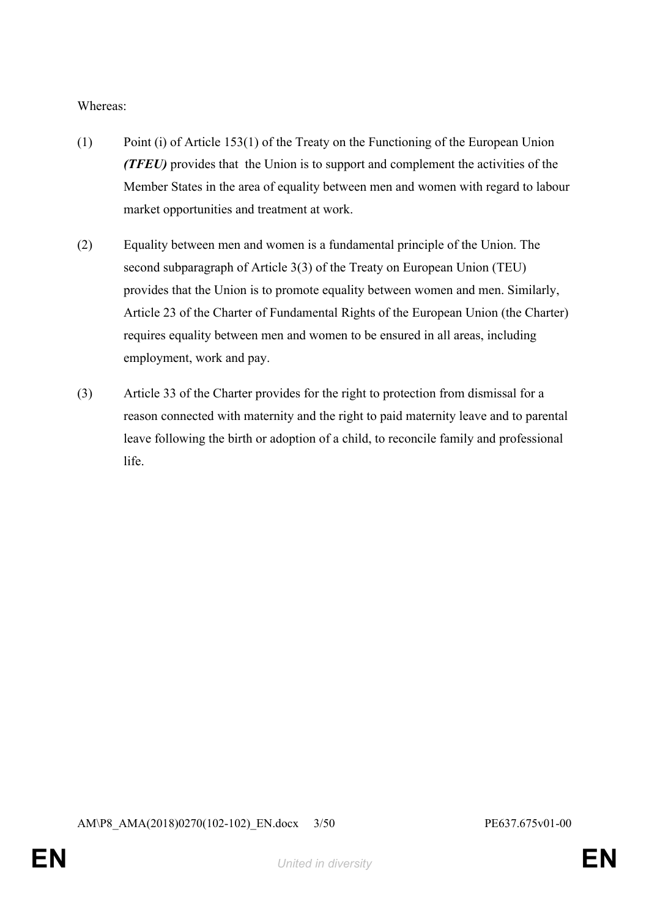Whereas:

- (1) Point (i) of Article 153(1) of the Treaty on the Functioning of the European Union *(TFEU)* provides that the Union is to support and complement the activities of the Member States in the area of equality between men and women with regard to labour market opportunities and treatment at work.
- (2) Equality between men and women is a fundamental principle of the Union. The second subparagraph of Article 3(3) of the Treaty on European Union (TEU) provides that the Union is to promote equality between women and men. Similarly, Article 23 of the Charter of Fundamental Rights of the European Union (the Charter) requires equality between men and women to be ensured in all areas, including employment, work and pay.
- (3) Article 33 of the Charter provides for the right to protection from dismissal for a reason connected with maternity and the right to paid maternity leave and to parental leave following the birth or adoption of a child, to reconcile family and professional life.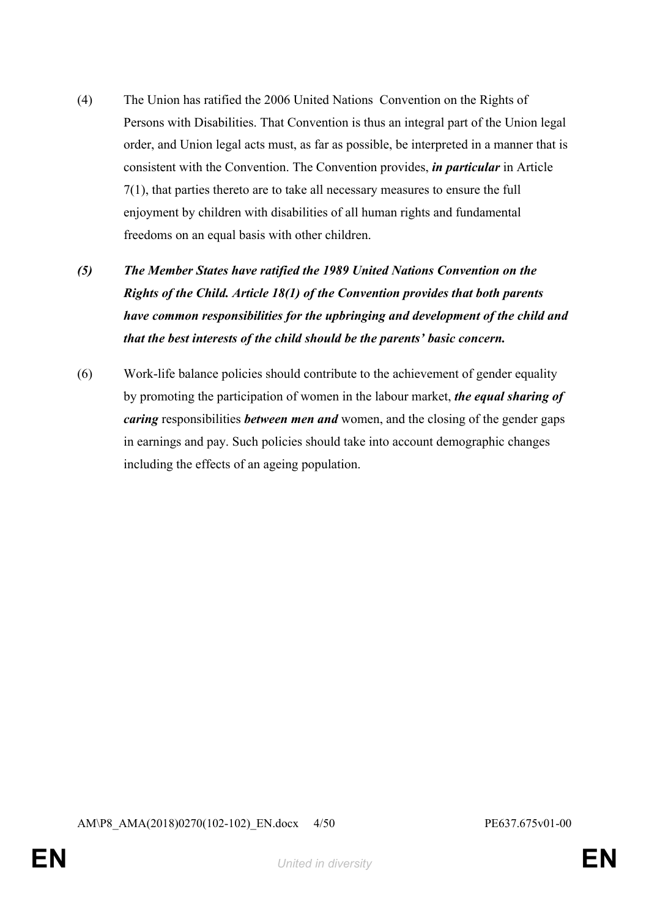- (4) The Union has ratified the 2006 United Nations Convention on the Rights of Persons with Disabilities. That Convention is thus an integral part of the Union legal order, and Union legal acts must, as far as possible, be interpreted in a manner that is consistent with the Convention. The Convention provides, *in particular* in Article 7(1), that parties thereto are to take all necessary measures to ensure the full enjoyment by children with disabilities of all human rights and fundamental freedoms on an equal basis with other children.
- *(5) The Member States have ratified the 1989 United Nations Convention on the Rights of the Child. Article 18(1) of the Convention provides that both parents have common responsibilities for the upbringing and development of the child and that the best interests of the child should be the parents' basic concern.*
- (6) Work-life balance policies should contribute to the achievement of gender equality by promoting the participation of women in the labour market, *the equal sharing of caring* responsibilities *between men and* women, and the closing of the gender gaps in earnings and pay. Such policies should take into account demographic changes including the effects of an ageing population.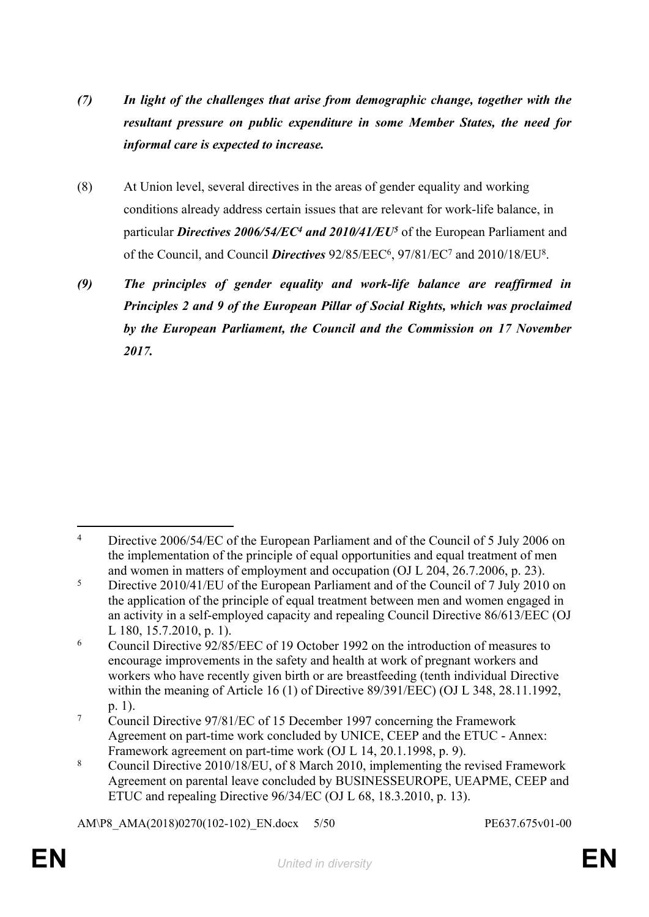- *(7) In light of the challenges that arise from demographic change, together with the resultant pressure on public expenditure in some Member States, the need for informal care is expected to increase.*
- (8) At Union level, several directives in the areas of gender equality and working conditions already address certain issues that are relevant for work-life balance, in particular *Directives 2006/54/EC<sup>4</sup> and 2010/41/EU<sup>5</sup> of the European Parliament and* of the Council, and Council *Directives* 92/85/EEC<sup>6</sup>, 97/81/EC<sup>7</sup> and 2010/18/EU<sup>8</sup>.
- *(9) The principles of gender equality and work-life balance are reaffirmed in Principles 2 and 9 of the European Pillar of Social Rights, which was proclaimed by the European Parliament, the Council and the Commission on 17 November 2017.*

AM\P8\_AMA(2018)0270(102-102)\_EN.docx 5/50 PE637.675v01-00

<sup>&</sup>lt;sup>4</sup> Directive 2006/54/EC of the European Parliament and of the Council of 5 July 2006 on the implementation of the principle of equal opportunities and equal treatment of men and women in matters of employment and occupation (OJ L 204, 26.7.2006, p. 23).

<sup>&</sup>lt;sup>5</sup> Directive 2010/41/EU of the European Parliament and of the Council of 7 July 2010 on the application of the principle of equal treatment between men and women engaged in an activity in a self-employed capacity and repealing Council Directive 86/613/EEC (OJ L 180, 15.7.2010, p. 1).

<sup>6</sup> Council Directive 92/85/EEC of 19 October 1992 on the introduction of measures to encourage improvements in the safety and health at work of pregnant workers and workers who have recently given birth or are breastfeeding (tenth individual Directive within the meaning of Article 16 (1) of Directive 89/391/EEC) (OJ L 348, 28.11.1992, p. 1).

<sup>&</sup>lt;sup>7</sup> Council Directive 97/81/EC of 15 December 1997 concerning the Framework Agreement on part-time work concluded by UNICE, CEEP and the ETUC - Annex: Framework agreement on part-time work (OJ L 14, 20.1.1998, p. 9).

<sup>8</sup> Council Directive 2010/18/EU, of 8 March 2010, implementing the revised Framework Agreement on parental leave concluded by BUSINESSEUROPE, UEAPME, CEEP and ETUC and repealing Directive 96/34/EC (OJ L 68, 18.3.2010, p. 13).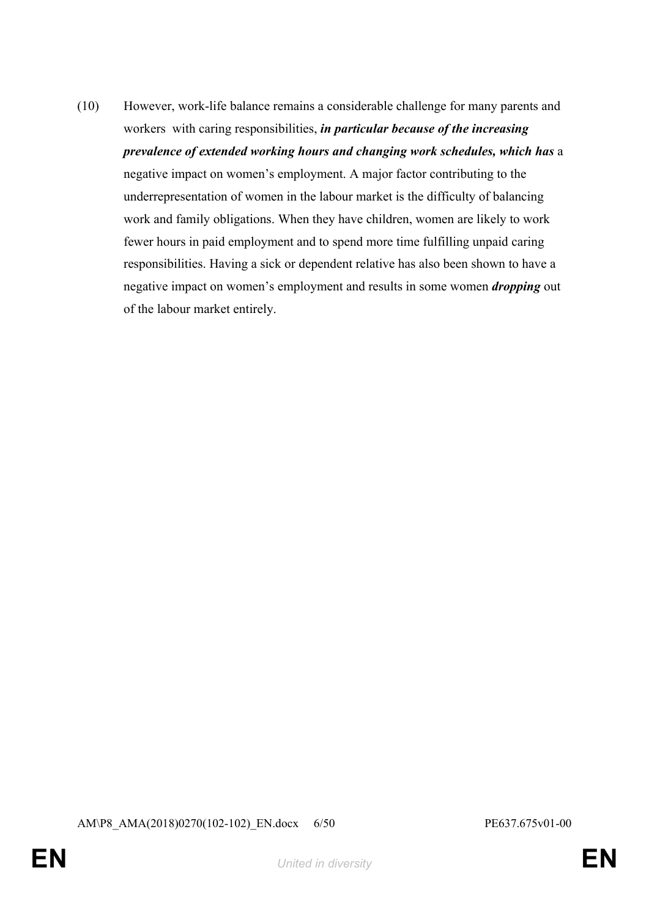(10) However, work-life balance remains a considerable challenge for many parents and workers with caring responsibilities, *in particular because of the increasing prevalence of extended working hours and changing work schedules, which has* a negative impact on women's employment. A major factor contributing to the underrepresentation of women in the labour market is the difficulty of balancing work and family obligations. When they have children, women are likely to work fewer hours in paid employment and to spend more time fulfilling unpaid caring responsibilities. Having a sick or dependent relative has also been shown to have a negative impact on women's employment and results in some women *dropping* out of the labour market entirely.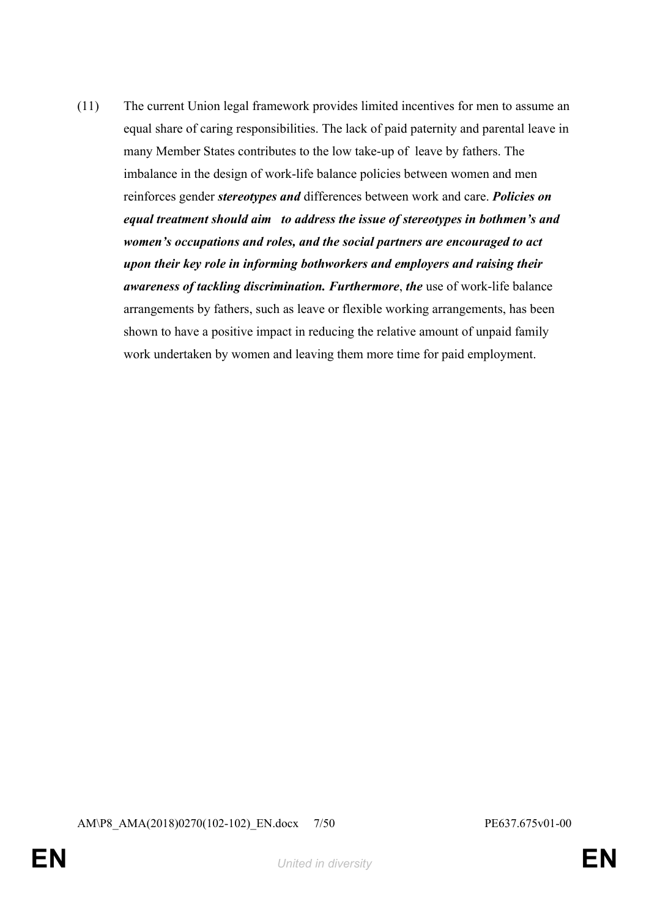(11) The current Union legal framework provides limited incentives for men to assume an equal share of caring responsibilities. The lack of paid paternity and parental leave in many Member States contributes to the low take-up of leave by fathers. The imbalance in the design of work-life balance policies between women and men reinforces gender *stereotypes and* differences between work and care. *Policies on equal treatment should aim to address the issue of stereotypes in bothmen's and women's occupations and roles, and the social partners are encouraged to act upon their key role in informing bothworkers and employers and raising their awareness of tackling discrimination. Furthermore*, *the* use of work-life balance arrangements by fathers, such as leave or flexible working arrangements, has been shown to have a positive impact in reducing the relative amount of unpaid family work undertaken by women and leaving them more time for paid employment.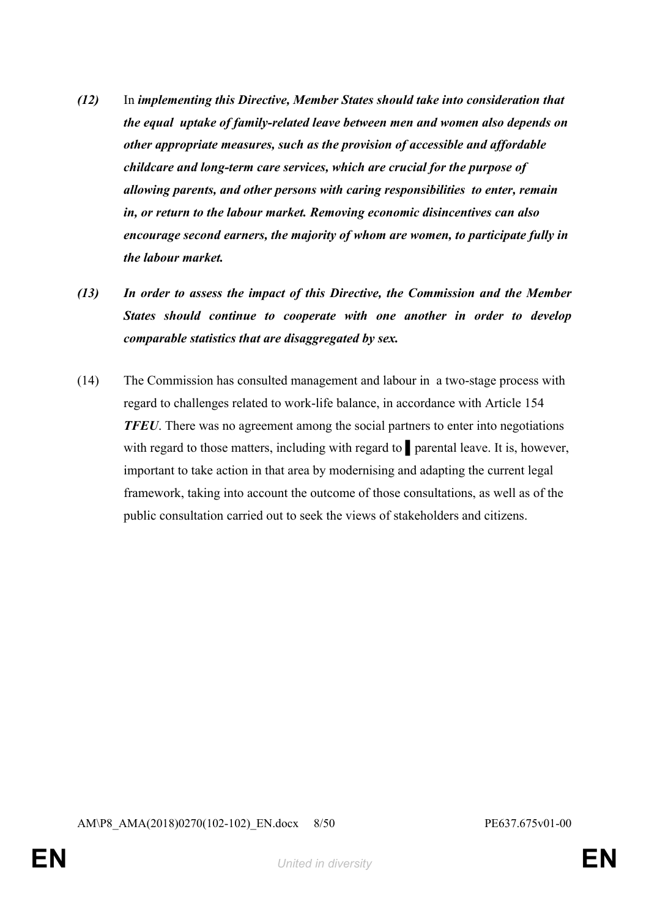- *(12)* In *implementing this Directive, Member States should take into consideration that the equal uptake of family-related leave between men and women also depends on other appropriate measures, such as the provision of accessible and affordable childcare and long-term care services, which are crucial for the purpose of allowing parents, and other persons with caring responsibilities to enter, remain in, or return to the labour market. Removing economic disincentives can also encourage second earners, the majority of whom are women, to participate fully in the labour market.*
- *(13) In order to assess the impact of this Directive, the Commission and the Member States should continue to cooperate with one another in order to develop comparable statistics that are disaggregated by sex.*
- (14) The Commission has consulted management and labour in a two-stage process with regard to challenges related to work-life balance, in accordance with Article 154 *TFEU*. There was no agreement among the social partners to enter into negotiations with regard to those matters, including with regard to **parental leave.** It is, however, important to take action in that area by modernising and adapting the current legal framework, taking into account the outcome of those consultations, as well as of the public consultation carried out to seek the views of stakeholders and citizens.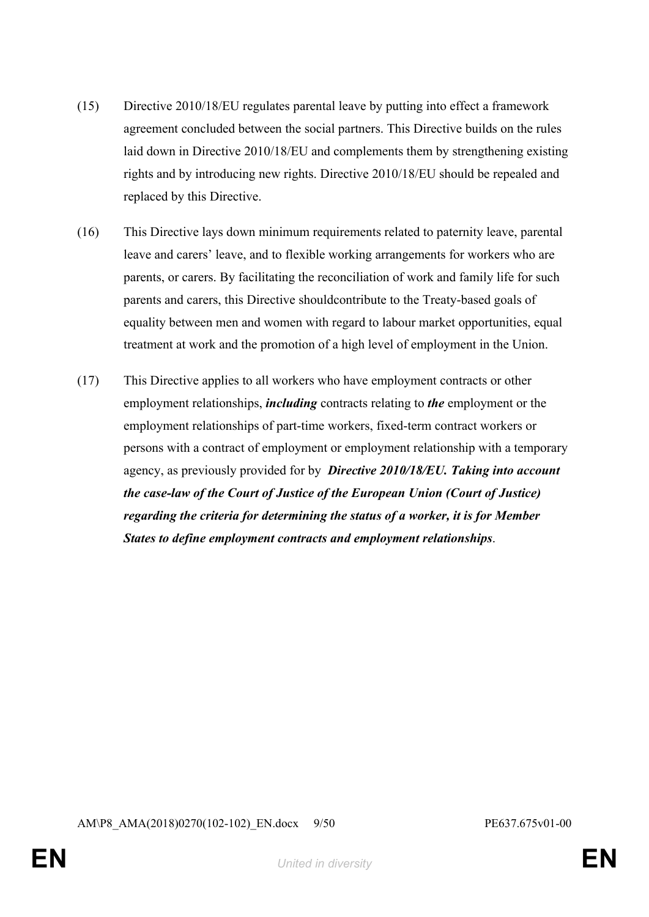- (15) Directive 2010/18/EU regulates parental leave by putting into effect a framework agreement concluded between the social partners. This Directive builds on the rules laid down in Directive 2010/18/EU and complements them by strengthening existing rights and by introducing new rights. Directive 2010/18/EU should be repealed and replaced by this Directive.
- (16) This Directive lays down minimum requirements related to paternity leave, parental leave and carers' leave, and to flexible working arrangements for workers who are parents, or carers. By facilitating the reconciliation of work and family life for such parents and carers, this Directive shouldcontribute to the Treaty-based goals of equality between men and women with regard to labour market opportunities, equal treatment at work and the promotion of a high level of employment in the Union.
- (17) This Directive applies to all workers who have employment contracts or other employment relationships, *including* contracts relating to *the* employment or the employment relationships of part-time workers, fixed-term contract workers or persons with a contract of employment or employment relationship with a temporary agency, as previously provided for by *Directive 2010/18/EU. Taking into account the case-law of the Court of Justice of the European Union (Court of Justice) regarding the criteria for determining the status of a worker, it is for Member States to define employment contracts and employment relationships*.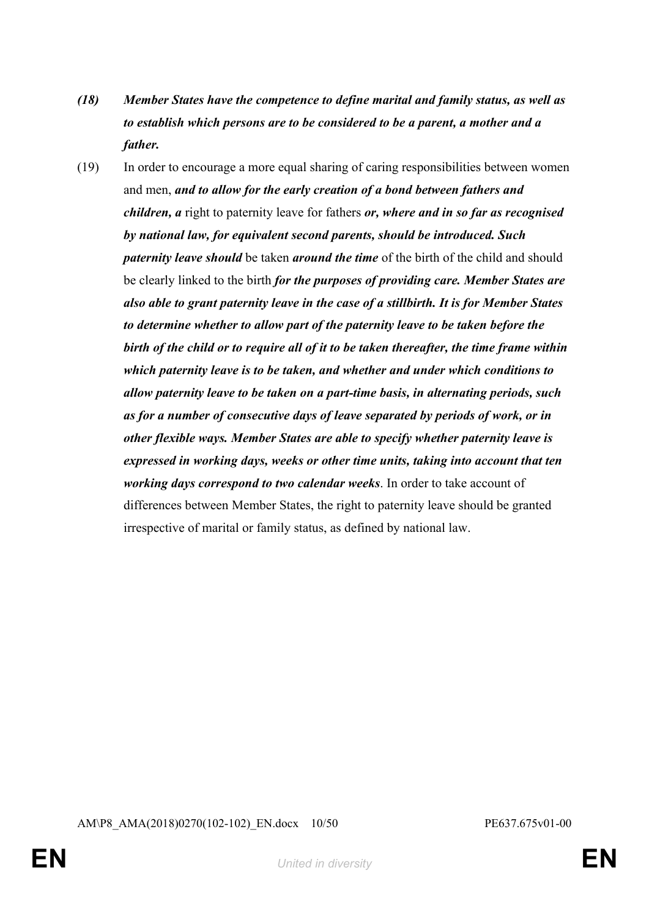- *(18) Member States have the competence to define marital and family status, as well as to establish which persons are to be considered to be a parent, a mother and a father.*
- (19) In order to encourage a more equal sharing of caring responsibilities between women and men, *and to allow for the early creation of a bond between fathers and children, a* right to paternity leave for fathers *or, where and in so far as recognised by national law, for equivalent second parents, should be introduced. Such paternity leave should* be taken *around the time* of the birth of the child and should be clearly linked to the birth *for the purposes of providing care. Member States are also able to grant paternity leave in the case of a stillbirth. It is for Member States to determine whether to allow part of the paternity leave to be taken before the birth of the child or to require all of it to be taken thereafter, the time frame within which paternity leave is to be taken, and whether and under which conditions to allow paternity leave to be taken on a part-time basis, in alternating periods, such as for a number of consecutive days of leave separated by periods of work, or in other flexible ways. Member States are able to specify whether paternity leave is expressed in working days, weeks or other time units, taking into account that ten working days correspond to two calendar weeks*. In order to take account of differences between Member States, the right to paternity leave should be granted irrespective of marital or family status, as defined by national law.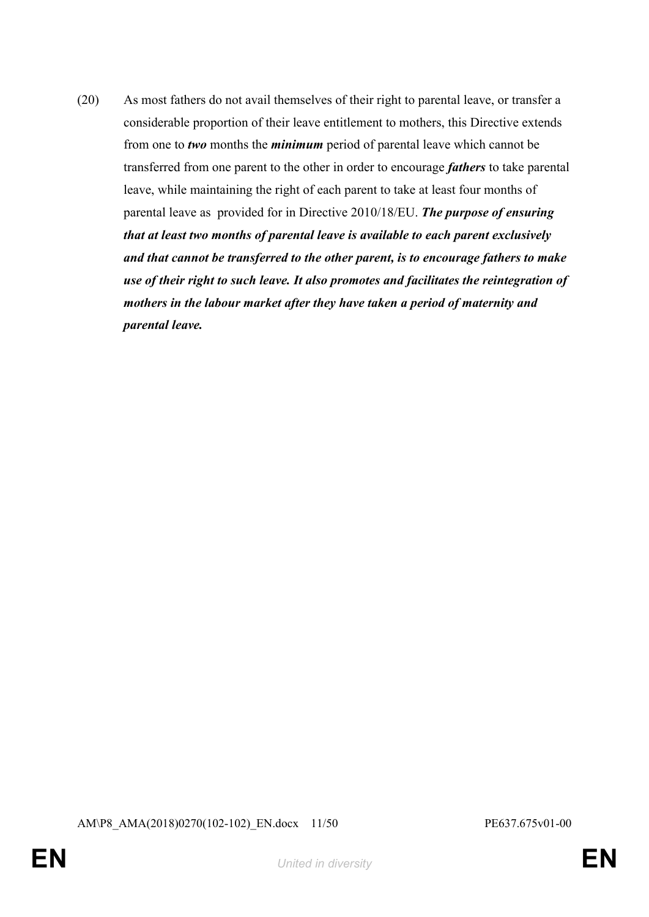(20) As most fathers do not avail themselves of their right to parental leave, or transfer a considerable proportion of their leave entitlement to mothers, this Directive extends from one to *two* months the *minimum* period of parental leave which cannot be transferred from one parent to the other in order to encourage *fathers* to take parental leave, while maintaining the right of each parent to take at least four months of parental leave as provided for in Directive 2010/18/EU. *The purpose of ensuring that at least two months of parental leave is available to each parent exclusively and that cannot be transferred to the other parent, is to encourage fathers to make use of their right to such leave. It also promotes and facilitates the reintegration of mothers in the labour market after they have taken a period of maternity and parental leave.*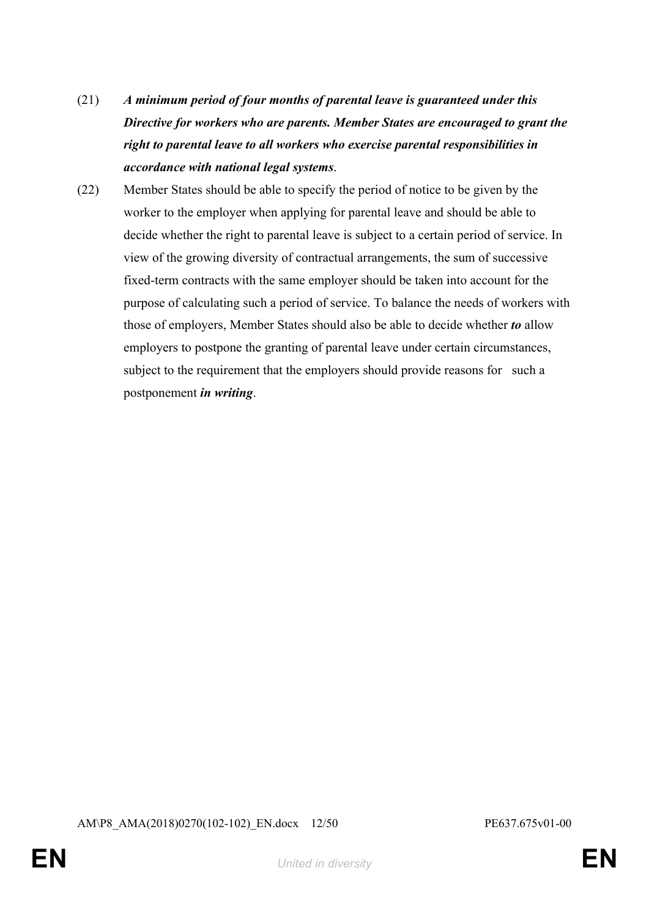- (21) *A minimum period of four months of parental leave is guaranteed under this Directive for workers who are parents. Member States are encouraged to grant the right to parental leave to all workers who exercise parental responsibilities in accordance with national legal systems*.
- (22) Member States should be able to specify the period of notice to be given by the worker to the employer when applying for parental leave and should be able to decide whether the right to parental leave is subject to a certain period of service. In view of the growing diversity of contractual arrangements, the sum of successive fixed-term contracts with the same employer should be taken into account for the purpose of calculating such a period of service. To balance the needs of workers with those of employers, Member States should also be able to decide whether *to* allow employers to postpone the granting of parental leave under certain circumstances, subject to the requirement that the employers should provide reasons for such a postponement *in writing*.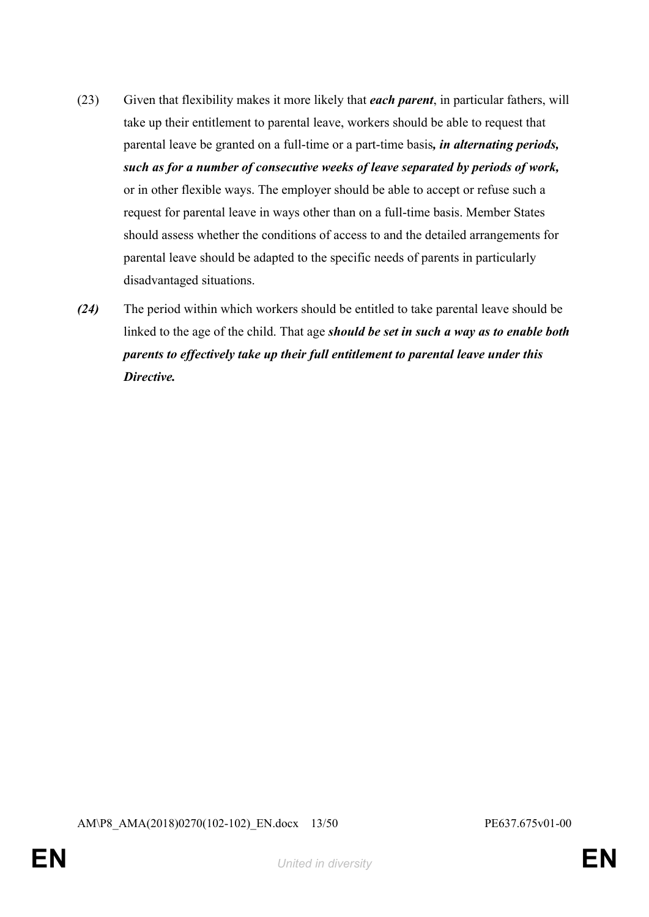- (23) Given that flexibility makes it more likely that *each parent*, in particular fathers, will take up their entitlement to parental leave, workers should be able to request that parental leave be granted on a full-time or a part-time basis*, in alternating periods, such as for a number of consecutive weeks of leave separated by periods of work,* or in other flexible ways. The employer should be able to accept or refuse such a request for parental leave in ways other than on a full-time basis. Member States should assess whether the conditions of access to and the detailed arrangements for parental leave should be adapted to the specific needs of parents in particularly disadvantaged situations.
- *(24)* The period within which workers should be entitled to take parental leave should be linked to the age of the child. That age *should be set in such a way as to enable both parents to effectively take up their full entitlement to parental leave under this Directive.*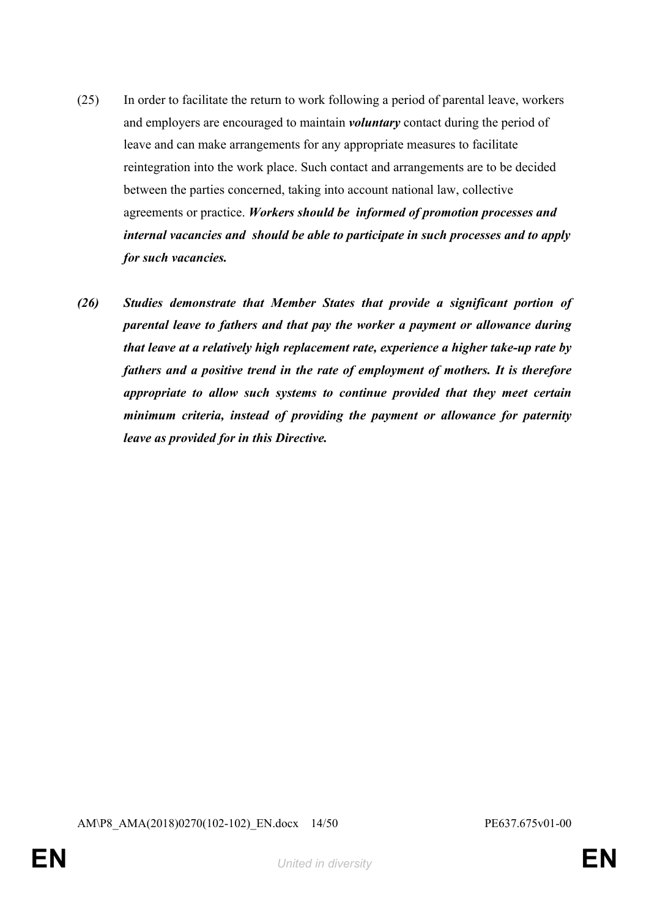- (25) In order to facilitate the return to work following a period of parental leave, workers and employers are encouraged to maintain *voluntary* contact during the period of leave and can make arrangements for any appropriate measures to facilitate reintegration into the work place. Such contact and arrangements are to be decided between the parties concerned, taking into account national law, collective agreements or practice. *Workers should be informed of promotion processes and internal vacancies and should be able to participate in such processes and to apply for such vacancies.*
- *(26) Studies demonstrate that Member States that provide a significant portion of parental leave to fathers and that pay the worker a payment or allowance during that leave at a relatively high replacement rate, experience a higher take-up rate by fathers and a positive trend in the rate of employment of mothers. It is therefore appropriate to allow such systems to continue provided that they meet certain minimum criteria, instead of providing the payment or allowance for paternity leave as provided for in this Directive.*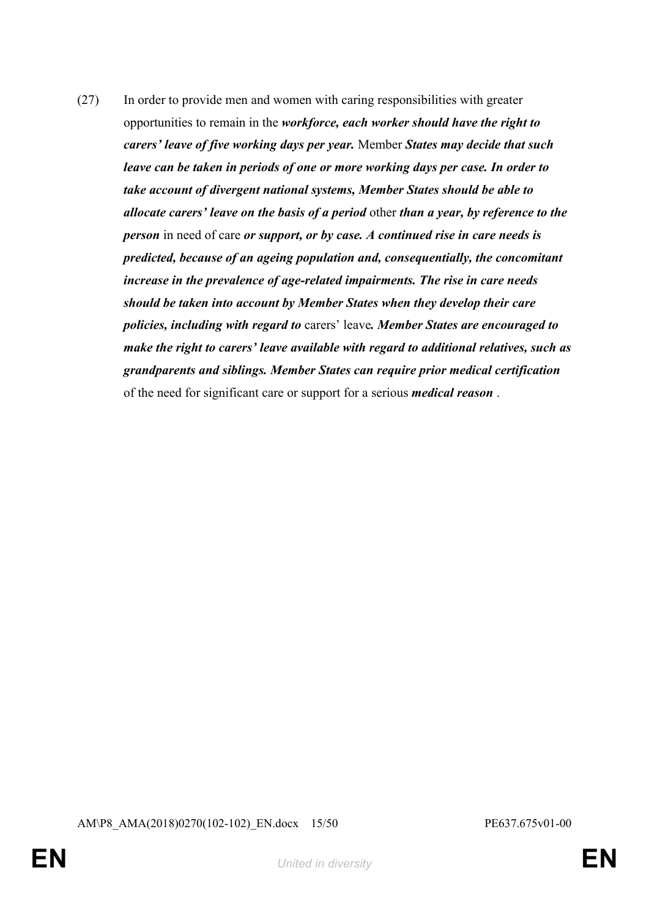(27) In order to provide men and women with caring responsibilities with greater opportunities to remain in the *workforce, each worker should have the right to carers' leave of five working days per year.* Member *States may decide that such leave can be taken in periods of one or more working days per case. In order to take account of divergent national systems, Member States should be able to allocate carers' leave on the basis of a period* other *than a year, by reference to the person* in need of care *or support, or by case. A continued rise in care needs is predicted, because of an ageing population and, consequentially, the concomitant increase in the prevalence of age-related impairments. The rise in care needs should be taken into account by Member States when they develop their care policies, including with regard to* carers' leave*. Member States are encouraged to make the right to carers' leave available with regard to additional relatives, such as grandparents and siblings. Member States can require prior medical certification* of the need for significant care or support for a serious *medical reason* .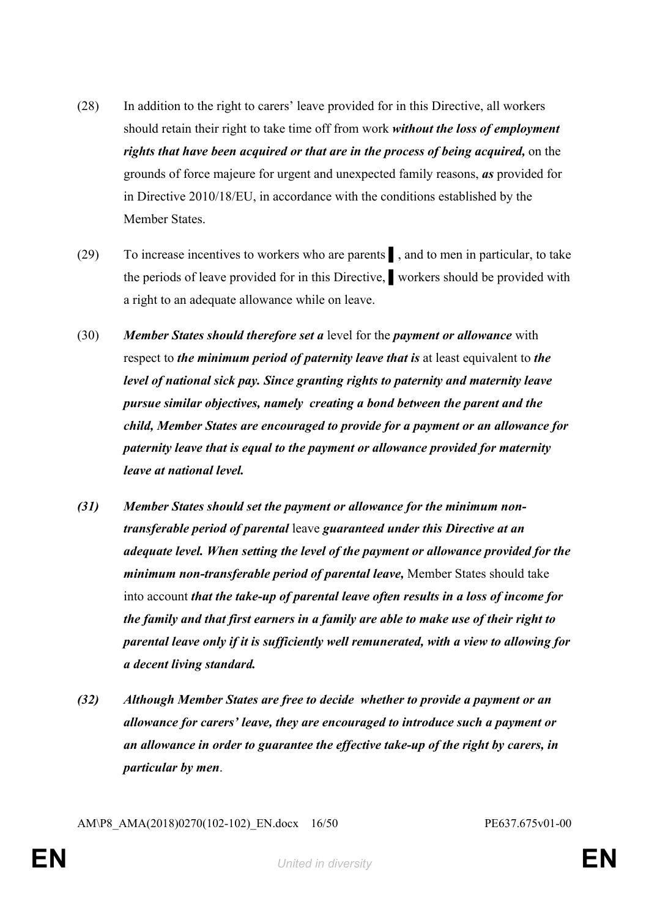- (28) In addition to the right to carers' leave provided for in this Directive, all workers should retain their right to take time off from work *without the loss of employment rights that have been acquired or that are in the process of being acquired,* on the grounds of force majeure for urgent and unexpected family reasons, *as* provided for in Directive 2010/18/EU, in accordance with the conditions established by the Member States.
- (29) To increase incentives to workers who are parents ▌, and to men in particular, to take the periods of leave provided for in this Directive, ▌workers should be provided with a right to an adequate allowance while on leave.
- (30) *Member States should therefore set a* level for the *payment or allowance* with respect to *the minimum period of paternity leave that is* at least equivalent to *the level of national sick pay. Since granting rights to paternity and maternity leave pursue similar objectives, namely creating a bond between the parent and the child, Member States are encouraged to provide for a payment or an allowance for paternity leave that is equal to the payment or allowance provided for maternity leave at national level.*
- *(31) Member States should set the payment or allowance for the minimum nontransferable period of parental* leave *guaranteed under this Directive at an adequate level. When setting the level of the payment or allowance provided for the minimum non-transferable period of parental leave,* Member States should take into account *that the take-up of parental leave often results in a loss of income for the family and that first earners in a family are able to make use of their right to parental leave only if it is sufficiently well remunerated, with a view to allowing for a decent living standard.*
- *(32) Although Member States are free to decide whether to provide a payment or an allowance for carers' leave, they are encouraged to introduce such a payment or an allowance in order to guarantee the effective take-up of the right by carers, in particular by men*.

AM\P8\_AMA(2018)0270(102-102)\_EN.docx 16/50 PE637.675v01-00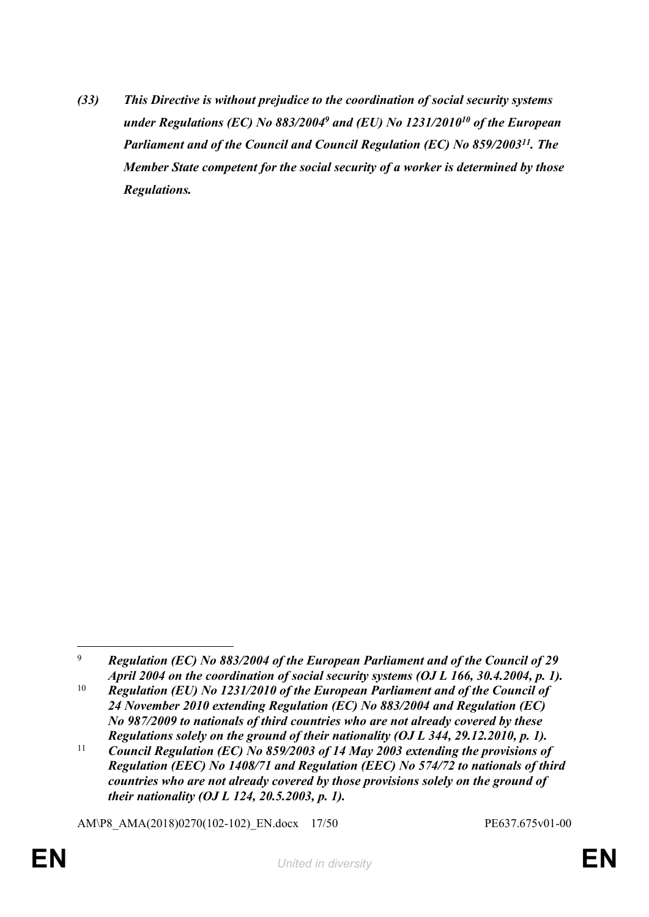*(33) This Directive is without prejudice to the coordination of social security systems under Regulations (EC) No 883/2004<sup>9</sup> and (EU) No 1231/2010<sup>10</sup> of the European Parliament and of the Council and Council Regulation (EC) No 859/2003<sup>11</sup>. The Member State competent for the social security of a worker is determined by those Regulations.*

AM\P8\_AMA(2018)0270(102-102)\_EN.docx 17/50 PE637.675v01-00

<sup>9</sup> *Regulation (EC) No 883/2004 of the European Parliament and of the Council of 29 April 2004 on the coordination of social security systems (OJ L 166, 30.4.2004, p. 1).*

<sup>&</sup>lt;sup>10</sup> *Regulation (EU) No 1231/2010 of the European Parliament and of the Council of 24 November 2010 extending Regulation (EC) No 883/2004 and Regulation (EC) No 987/2009 to nationals of third countries who are not already covered by these Regulations solely on the ground of their nationality (OJ L 344, 29.12.2010, p. 1).*

<sup>&</sup>lt;sup>11</sup> *Council Regulation (EC) No 859/2003 of 14 May 2003 extending the provisions of Regulation (EEC) No 1408/71 and Regulation (EEC) No 574/72 to nationals of third countries who are not already covered by those provisions solely on the ground of their nationality (OJ L 124, 20.5.2003, p. 1).*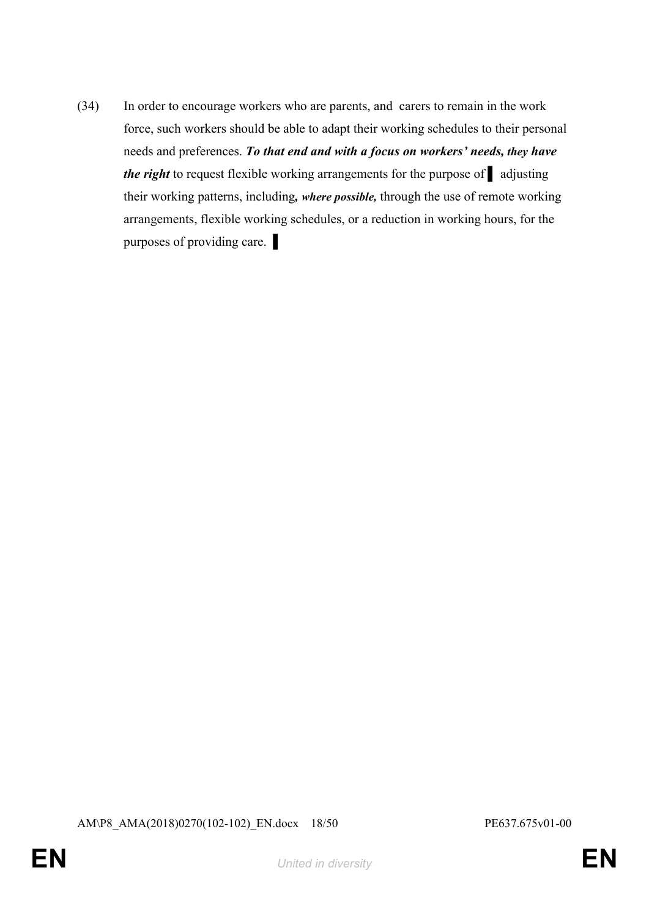(34) In order to encourage workers who are parents, and carers to remain in the work force, such workers should be able to adapt their working schedules to their personal needs and preferences. *To that end and with a focus on workers' needs, they have the right* to request flexible working arrangements for the purpose of ■ adjusting their working patterns, including*, where possible,* through the use of remote working arrangements, flexible working schedules, or a reduction in working hours, for the purposes of providing care.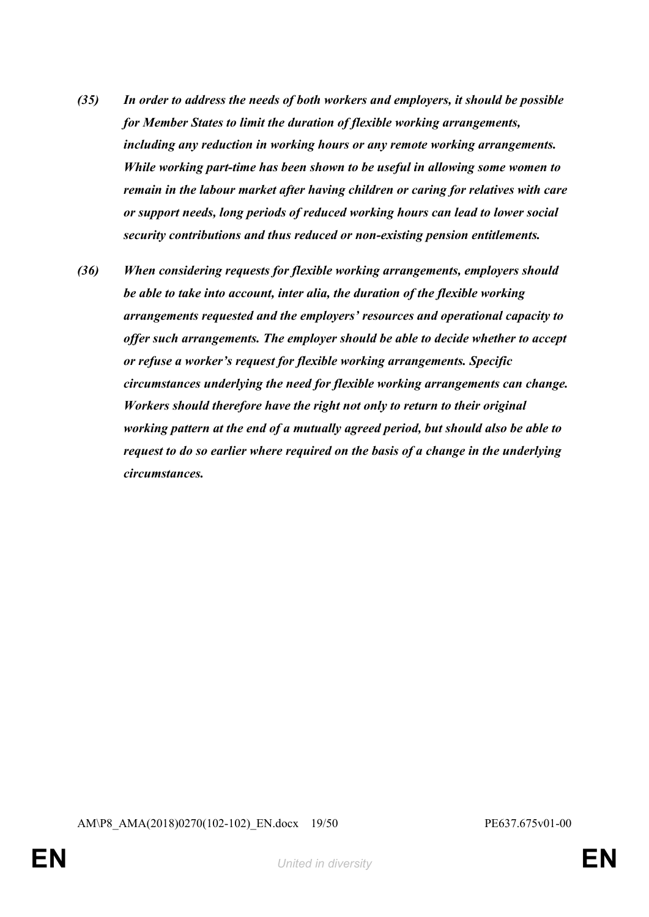- *(35) In order to address the needs of both workers and employers, it should be possible for Member States to limit the duration of flexible working arrangements, including any reduction in working hours or any remote working arrangements. While working part-time has been shown to be useful in allowing some women to remain in the labour market after having children or caring for relatives with care or support needs, long periods of reduced working hours can lead to lower social security contributions and thus reduced or non-existing pension entitlements.*
- *(36) When considering requests for flexible working arrangements, employers should be able to take into account, inter alia, the duration of the flexible working arrangements requested and the employers' resources and operational capacity to offer such arrangements. The employer should be able to decide whether to accept or refuse a worker's request for flexible working arrangements. Specific circumstances underlying the need for flexible working arrangements can change. Workers should therefore have the right not only to return to their original working pattern at the end of a mutually agreed period, but should also be able to request to do so earlier where required on the basis of a change in the underlying circumstances.*

AM\P8\_AMA(2018)0270(102-102)\_EN.docx 19/50 PE637.675v01-00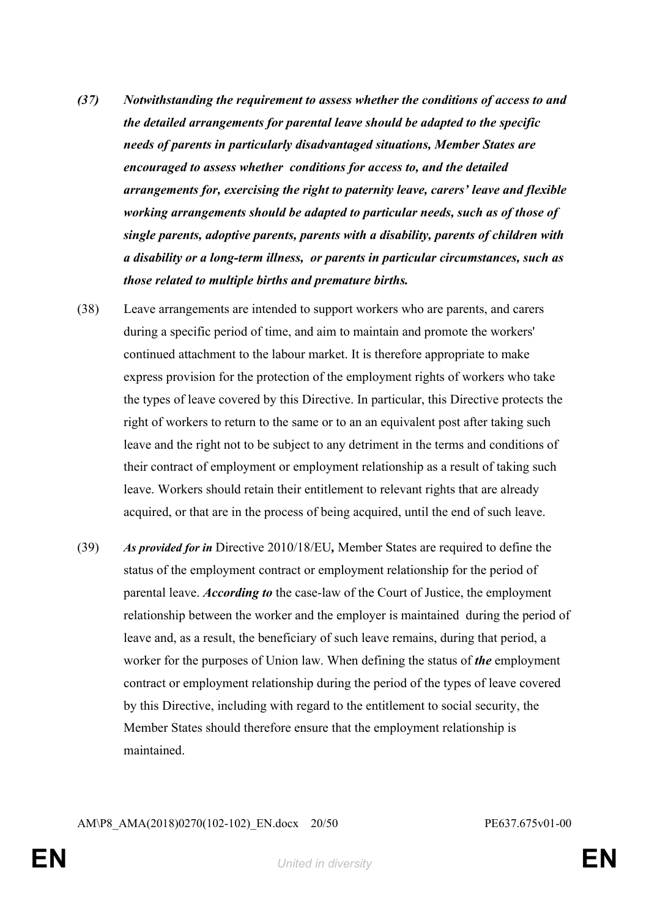- *(37) Notwithstanding the requirement to assess whether the conditions of access to and the detailed arrangements for parental leave should be adapted to the specific needs of parents in particularly disadvantaged situations, Member States are encouraged to assess whether conditions for access to, and the detailed arrangements for, exercising the right to paternity leave, carers' leave and flexible working arrangements should be adapted to particular needs, such as of those of single parents, adoptive parents, parents with a disability, parents of children with a disability or a long-term illness, or parents in particular circumstances, such as those related to multiple births and premature births.*
- (38) Leave arrangements are intended to support workers who are parents, and carers during a specific period of time, and aim to maintain and promote the workers' continued attachment to the labour market. It is therefore appropriate to make express provision for the protection of the employment rights of workers who take the types of leave covered by this Directive. In particular, this Directive protects the right of workers to return to the same or to an an equivalent post after taking such leave and the right not to be subject to any detriment in the terms and conditions of their contract of employment or employment relationship as a result of taking such leave. Workers should retain their entitlement to relevant rights that are already acquired, or that are in the process of being acquired, until the end of such leave.
- (39) *As provided for in* Directive 2010/18/EU*,* Member States are required to define the status of the employment contract or employment relationship for the period of parental leave. *According to* the case-law of the Court of Justice, the employment relationship between the worker and the employer is maintained during the period of leave and, as a result, the beneficiary of such leave remains, during that period, a worker for the purposes of Union law. When defining the status of *the* employment contract or employment relationship during the period of the types of leave covered by this Directive, including with regard to the entitlement to social security, the Member States should therefore ensure that the employment relationship is maintained.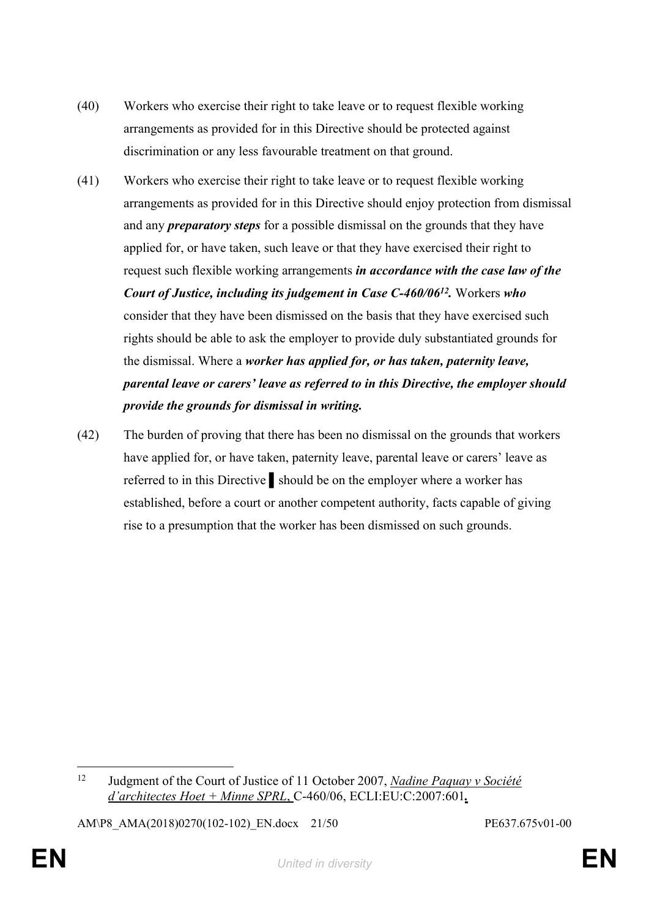- (40) Workers who exercise their right to take leave or to request flexible working arrangements as provided for in this Directive should be protected against discrimination or any less favourable treatment on that ground.
- (41) Workers who exercise their right to take leave or to request flexible working arrangements as provided for in this Directive should enjoy protection from dismissal and any *preparatory steps* for a possible dismissal on the grounds that they have applied for, or have taken, such leave or that they have exercised their right to request such flexible working arrangements *in accordance with the case law of the Court of Justice, including its judgement in Case C-460/06<sup>12</sup> .* Workers *who* consider that they have been dismissed on the basis that they have exercised such rights should be able to ask the employer to provide duly substantiated grounds for the dismissal. Where a *worker has applied for, or has taken, paternity leave, parental leave or carers' leave as referred to in this Directive, the employer should provide the grounds for dismissal in writing.*
- (42) The burden of proving that there has been no dismissal on the grounds that workers have applied for, or have taken, paternity leave, parental leave or carers' leave as referred to in this Directive ▌should be on the employer where a worker has established, before a court or another competent authority, facts capable of giving rise to a presumption that the worker has been dismissed on such grounds.

AM\P8\_AMA(2018)0270(102-102)\_EN.docx 21/50 PE637.675v01-00

<sup>12</sup> Judgment of the Court of Justice of 11 October 2007, *Nadine Paquay v Société d'architectes Hoet + Minne SPRL*, C-460/06, ECLI:EU:C:2007:601*.*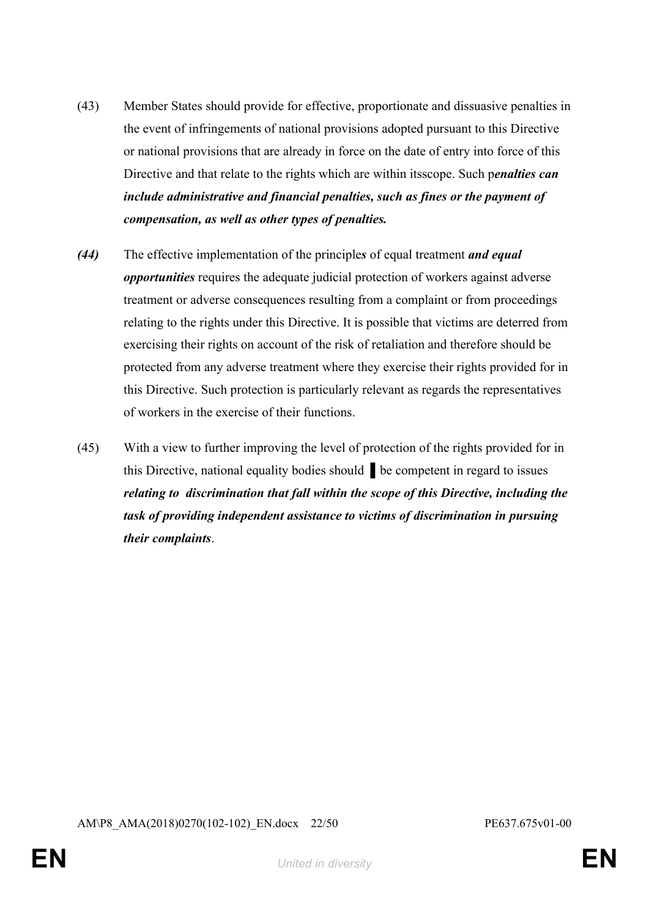- (43) Member States should provide for effective, proportionate and dissuasive penalties in the event of infringements of national provisions adopted pursuant to this Directive or national provisions that are already in force on the date of entry into force of this Directive and that relate to the rights which are within itsscope. Such p*enalties can include administrative and financial penalties, such as fines or the payment of compensation, as well as other types of penalties.*
- *(44)* The effective implementation of the principle*s* of equal treatment *and equal opportunities* requires the adequate judicial protection of workers against adverse treatment or adverse consequences resulting from a complaint or from proceedings relating to the rights under this Directive. It is possible that victims are deterred from exercising their rights on account of the risk of retaliation and therefore should be protected from any adverse treatment where they exercise their rights provided for in this Directive. Such protection is particularly relevant as regards the representatives of workers in the exercise of their functions.
- (45) With a view to further improving the level of protection of the rights provided for in this Directive, national equality bodies should ▌be competent in regard to issues *relating to discrimination that fall within the scope of this Directive, including the task of providing independent assistance to victims of discrimination in pursuing their complaints*.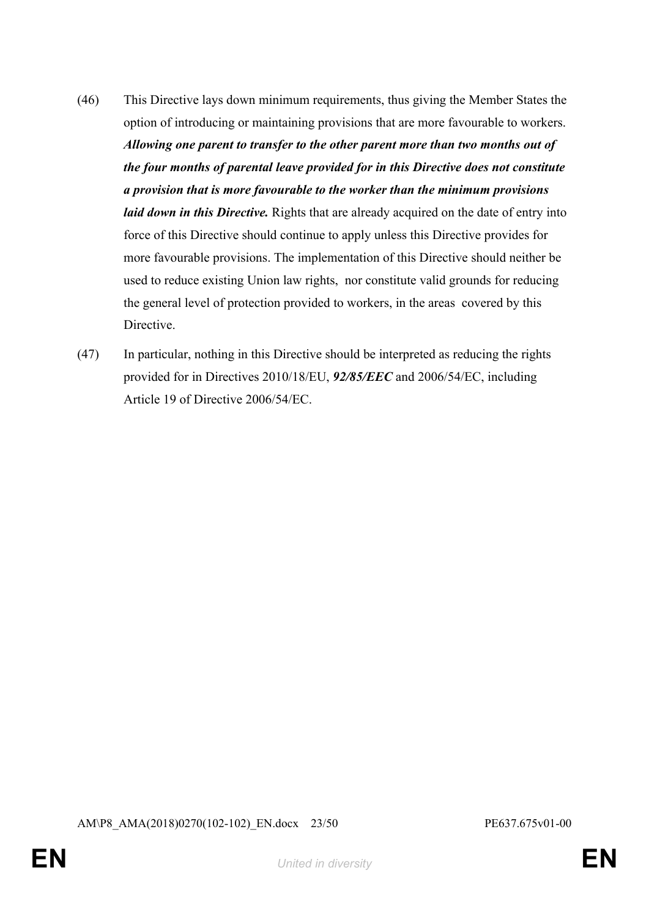- (46) This Directive lays down minimum requirements, thus giving the Member States the option of introducing or maintaining provisions that are more favourable to workers. *Allowing one parent to transfer to the other parent more than two months out of the four months of parental leave provided for in this Directive does not constitute a provision that is more favourable to the worker than the minimum provisions laid down in this Directive.* Rights that are already acquired on the date of entry into force of this Directive should continue to apply unless this Directive provides for more favourable provisions. The implementation of this Directive should neither be used to reduce existing Union law rights, nor constitute valid grounds for reducing the general level of protection provided to workers, in the areas covered by this **Directive**
- (47) In particular, nothing in this Directive should be interpreted as reducing the rights provided for in Directives 2010/18/EU, *92/85/EEC* and 2006/54/EC, including Article 19 of Directive 2006/54/EC.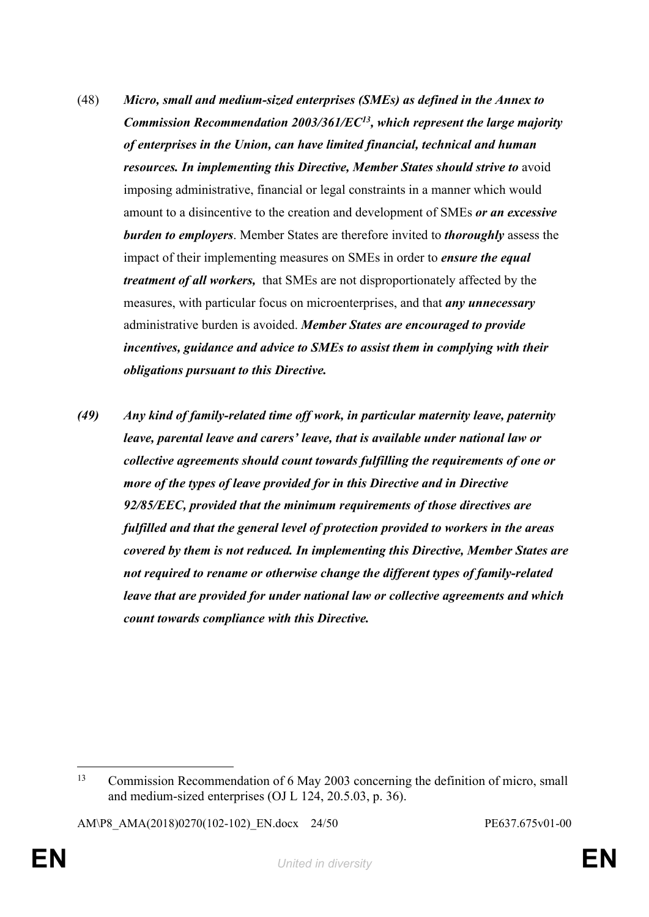- (48) *Micro, small and medium-sized enterprises (SMEs) as defined in the Annex to Commission Recommendation 2003/361/EC<sup>13</sup>, which represent the large majority of enterprises in the Union, can have limited financial, technical and human resources. In implementing this Directive, Member States should strive to* avoid imposing administrative, financial or legal constraints in a manner which would amount to a disincentive to the creation and development of SMEs *or an excessive burden to employers*. Member States are therefore invited to *thoroughly* assess the impact of their implementing measures on SMEs in order to *ensure the equal treatment of all workers,* that SMEs are not disproportionately affected by the measures, with particular focus on microenterprises, and that *any unnecessary* administrative burden is avoided. *Member States are encouraged to provide incentives, guidance and advice to SMEs to assist them in complying with their obligations pursuant to this Directive.*
- *(49) Any kind of family-related time off work, in particular maternity leave, paternity leave, parental leave and carers' leave, that is available under national law or collective agreements should count towards fulfilling the requirements of one or more of the types of leave provided for in this Directive and in Directive 92/85/EEC, provided that the minimum requirements of those directives are fulfilled and that the general level of protection provided to workers in the areas covered by them is not reduced. In implementing this Directive, Member States are not required to rename or otherwise change the different types of family-related leave that are provided for under national law or collective agreements and which count towards compliance with this Directive.*

AM\P8\_AMA(2018)0270(102-102)\_EN.docx 24/50 PE637.675v01-00

<sup>13</sup> Commission Recommendation of 6 May 2003 concerning the definition of micro, small and medium-sized enterprises (OJ L 124, 20.5.03, p. 36).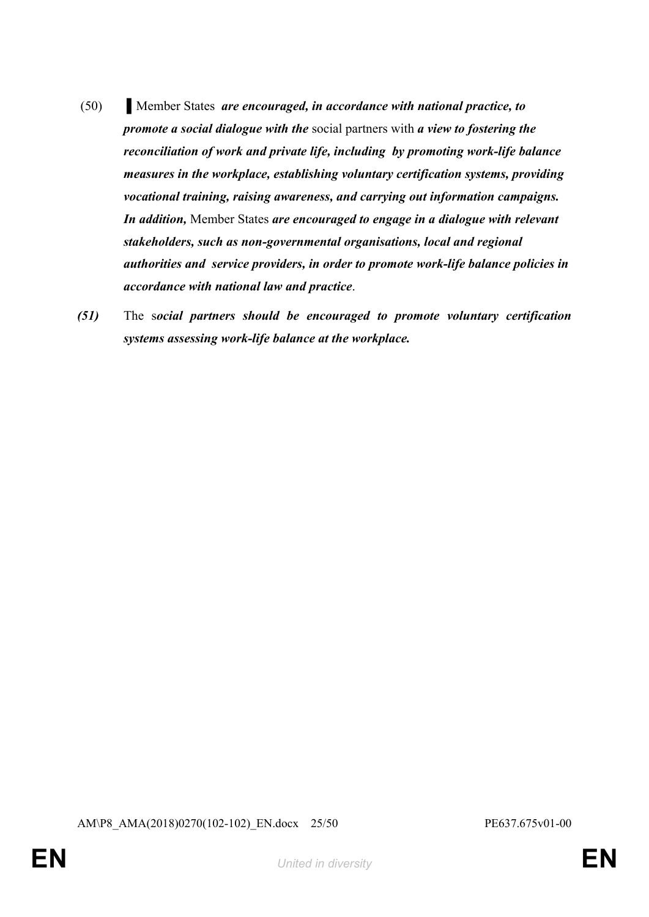- (50) ▌Member States *are encouraged, in accordance with national practice, to promote a social dialogue with the* social partners with *a view to fostering the reconciliation of work and private life, including by promoting work-life balance measures in the workplace, establishing voluntary certification systems, providing vocational training, raising awareness, and carrying out information campaigns. In addition,* Member States *are encouraged to engage in a dialogue with relevant stakeholders, such as non-governmental organisations, local and regional authorities and service providers, in order to promote work-life balance policies in accordance with national law and practice*.
- *(51)* The s*ocial partners should be encouraged to promote voluntary certification systems assessing work-life balance at the workplace.*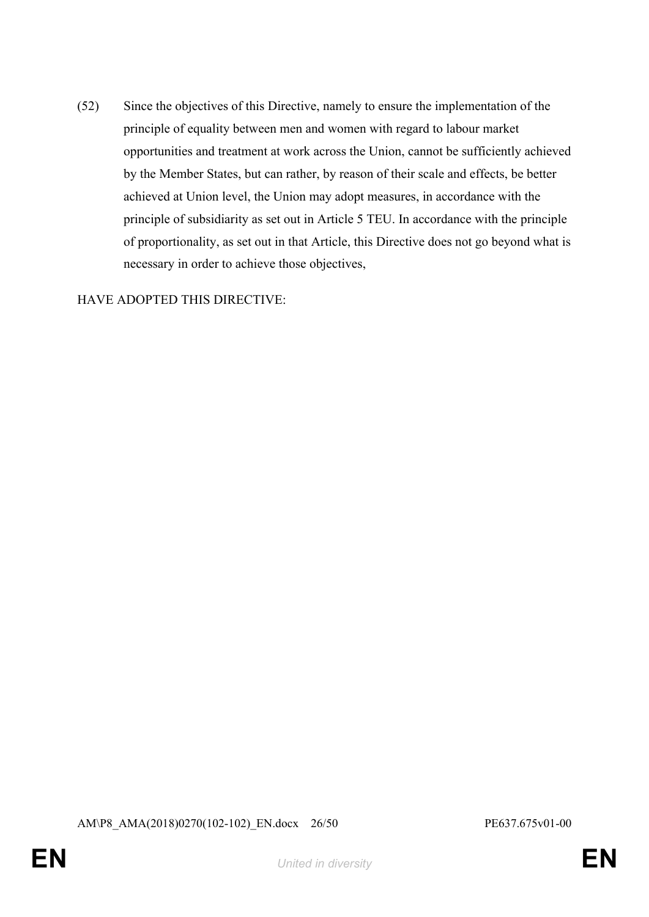(52) Since the objectives of this Directive, namely to ensure the implementation of the principle of equality between men and women with regard to labour market opportunities and treatment at work across the Union, cannot be sufficiently achieved by the Member States, but can rather, by reason of their scale and effects, be better achieved at Union level, the Union may adopt measures, in accordance with the principle of subsidiarity as set out in Article 5 TEU. In accordance with the principle of proportionality, as set out in that Article, this Directive does not go beyond what is necessary in order to achieve those objectives,

HAVE ADOPTED THIS DIRECTIVE:

AM\P8\_AMA(2018)0270(102-102)\_EN.docx 26/50 PE637.675v01-00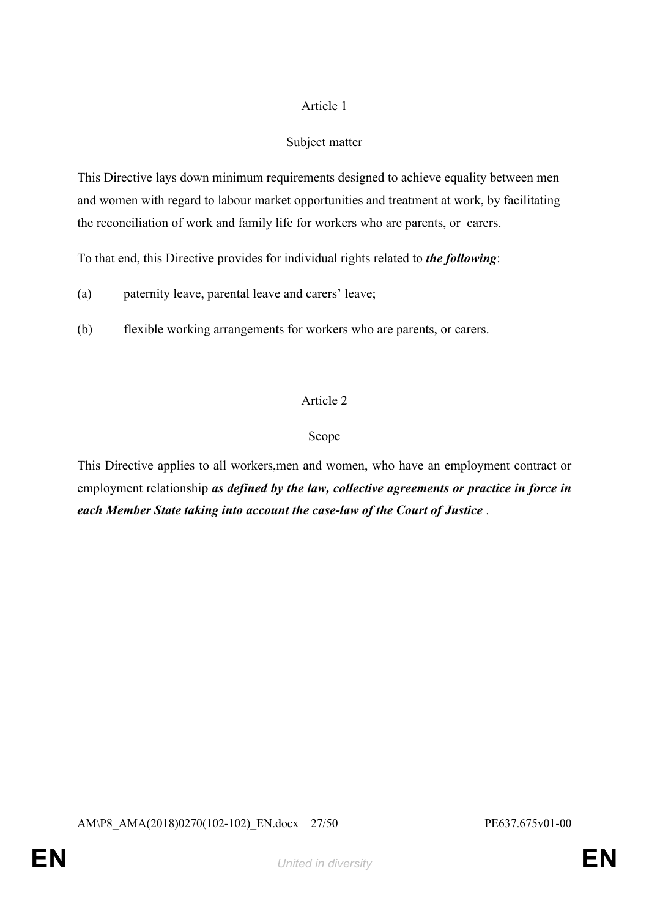## Subject matter

This Directive lays down minimum requirements designed to achieve equality between men and women with regard to labour market opportunities and treatment at work, by facilitating the reconciliation of work and family life for workers who are parents, or carers.

To that end, this Directive provides for individual rights related to *the following*:

(a) paternity leave, parental leave and carers' leave;

(b) flexible working arrangements for workers who are parents, or carers.

## Article 2

#### Scope

This Directive applies to all workers,men and women, who have an employment contract or employment relationship *as defined by the law, collective agreements or practice in force in each Member State taking into account the case-law of the Court of Justice* .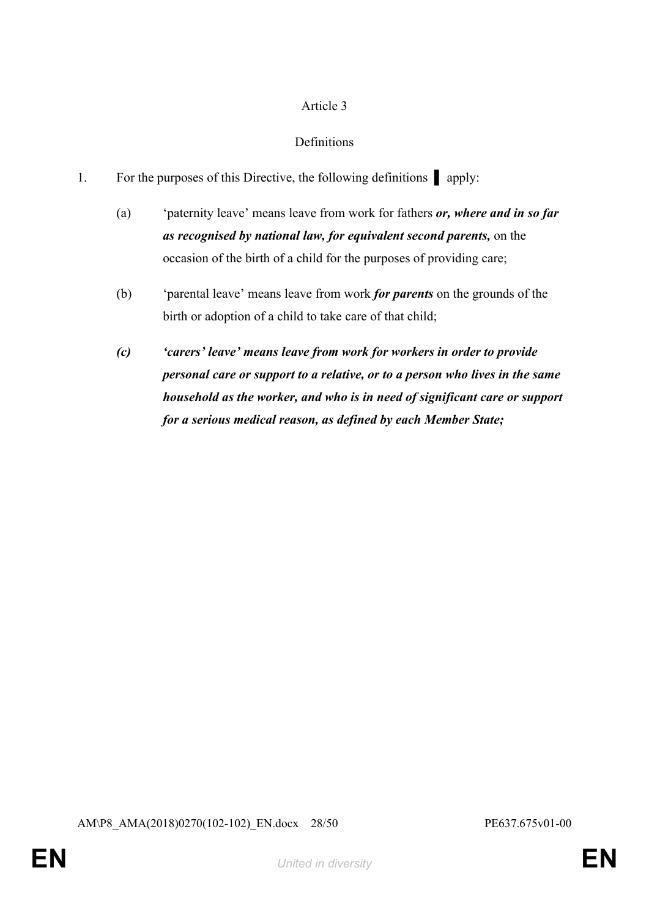## **Definitions**

- 1. For the purposes of this Directive, the following definitions **Quadrant** apply:
	- (a) 'paternity leave' means leave from work for fathers *or, where and in so far as recognised by national law, for equivalent second parents,* on the occasion of the birth of a child for the purposes of providing care;
	- (b) 'parental leave' means leave from work *for parents* on the grounds of the birth or adoption of a child to take care of that child;
	- *(c) 'carers' leave' means leave from work for workers in order to provide personal care or support to a relative, or to a person who lives in the same household as the worker, and who is in need of significant care or support for a serious medical reason, as defined by each Member State;*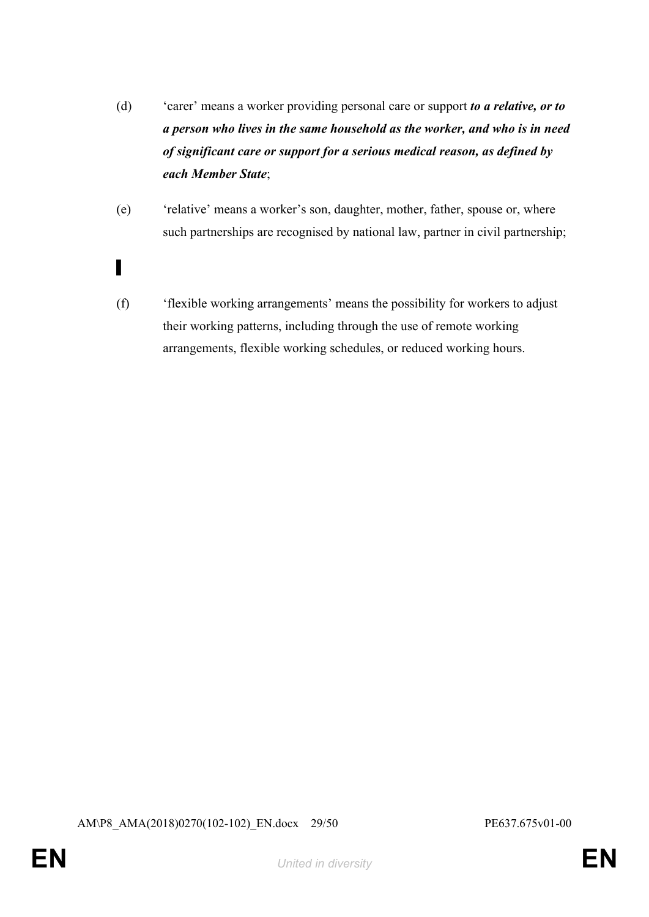- (d) 'carer' means a worker providing personal care or support *to a relative, or to a person who lives in the same household as the worker, and who is in need of significant care or support for a serious medical reason, as defined by each Member State*;
- (e) 'relative' means a worker's son, daughter, mother, father, spouse or, where such partnerships are recognised by national law, partner in civil partnership;
- ▌
- (f) 'flexible working arrangements' means the possibility for workers to adjust their working patterns, including through the use of remote working arrangements, flexible working schedules, or reduced working hours.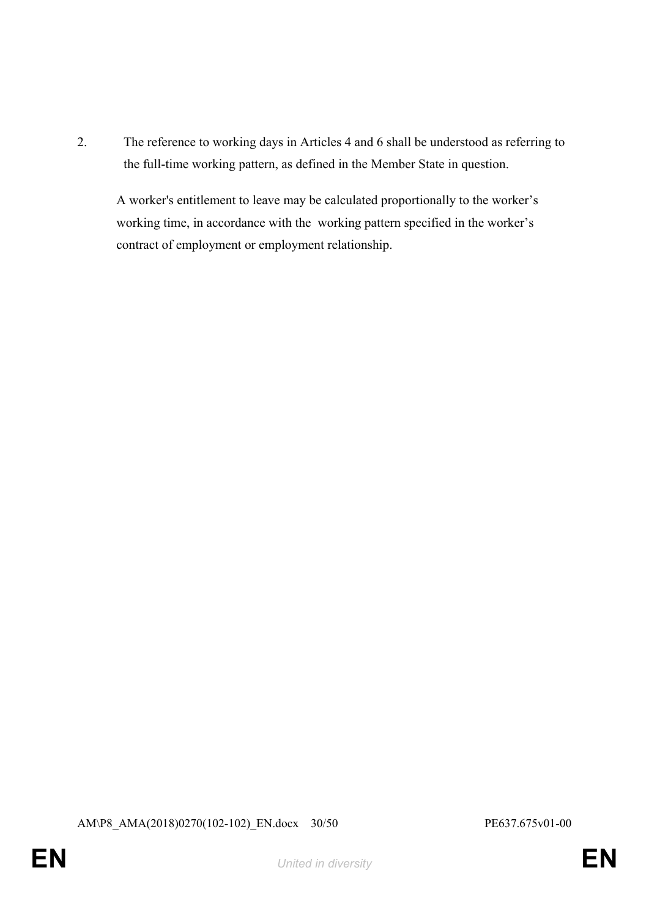2. The reference to working days in Articles 4 and 6 shall be understood as referring to the full-time working pattern, as defined in the Member State in question.

A worker's entitlement to leave may be calculated proportionally to the worker's working time, in accordance with the working pattern specified in the worker's contract of employment or employment relationship.

AM\P8\_AMA(2018)0270(102-102)\_EN.docx 30/50 PE637.675v01-00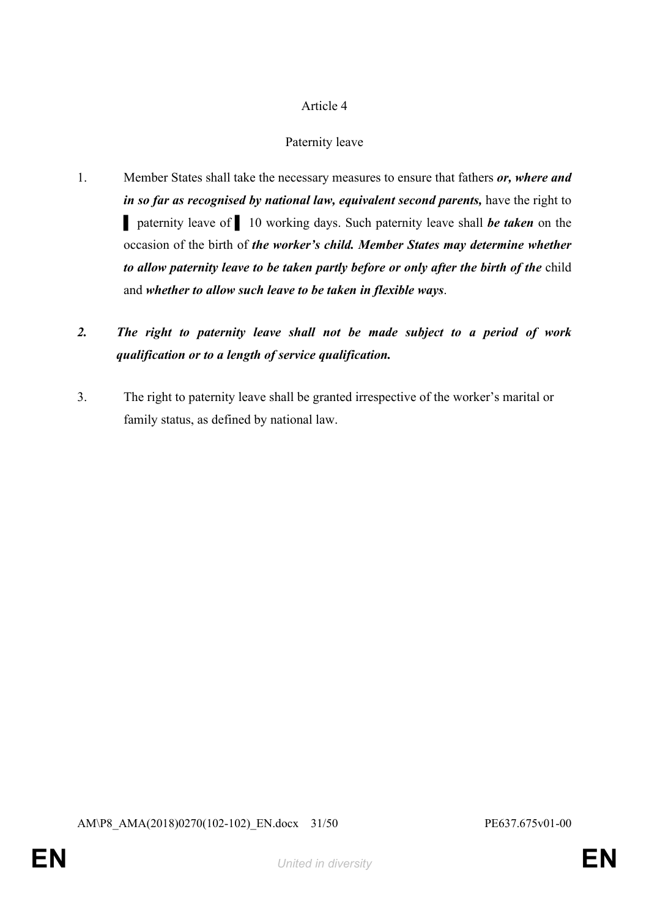## Paternity leave

1. Member States shall take the necessary measures to ensure that fathers *or, where and in so far as recognised by national law, equivalent second parents, have the right to* ▌ paternity leave of ▌ 10 working days. Such paternity leave shall *be taken* on the occasion of the birth of *the worker's child. Member States may determine whether to allow paternity leave to be taken partly before or only after the birth of the* child and *whether to allow such leave to be taken in flexible ways*.

# *2. The right to paternity leave shall not be made subject to a period of work qualification or to a length of service qualification.*

3. The right to paternity leave shall be granted irrespective of the worker's marital or family status, as defined by national law.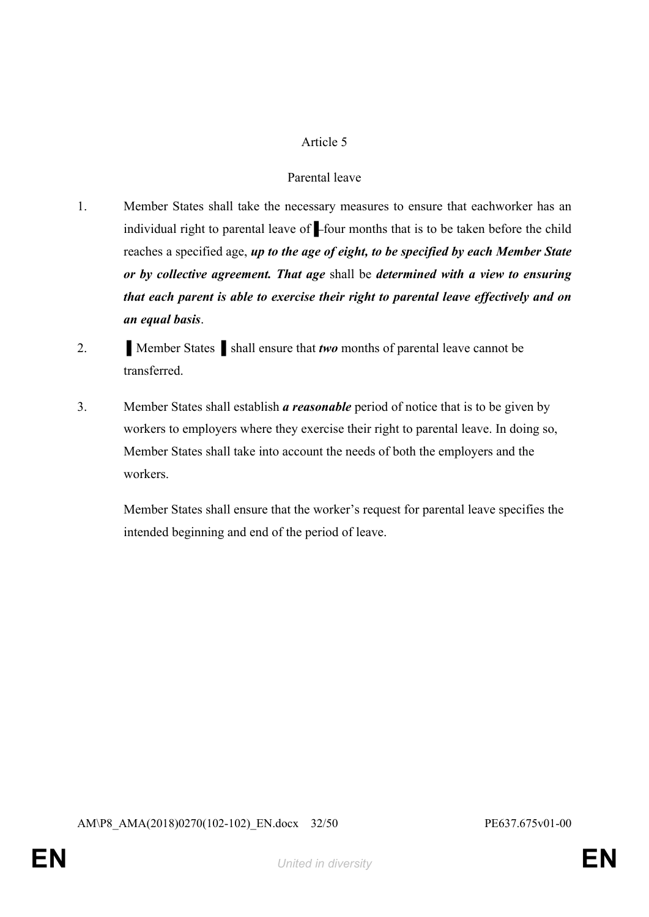#### Parental leave

- 1. Member States shall take the necessary measures to ensure that eachworker has an individual right to parental leave of *▌*four months that is to be taken before the child reaches a specified age, *up to the age of eight, to be specified by each Member State or by collective agreement. That age* shall be *determined with a view to ensuring that each parent is able to exercise their right to parental leave effectively and on an equal basis*.
- 2. **I** Member States **Shall ensure that** *two* **months of parental leave cannot be** transferred.
- 3. Member States shall establish *a reasonable* period of notice that is to be given by workers to employers where they exercise their right to parental leave. In doing so, Member States shall take into account the needs of both the employers and the workers.

Member States shall ensure that the worker's request for parental leave specifies the intended beginning and end of the period of leave.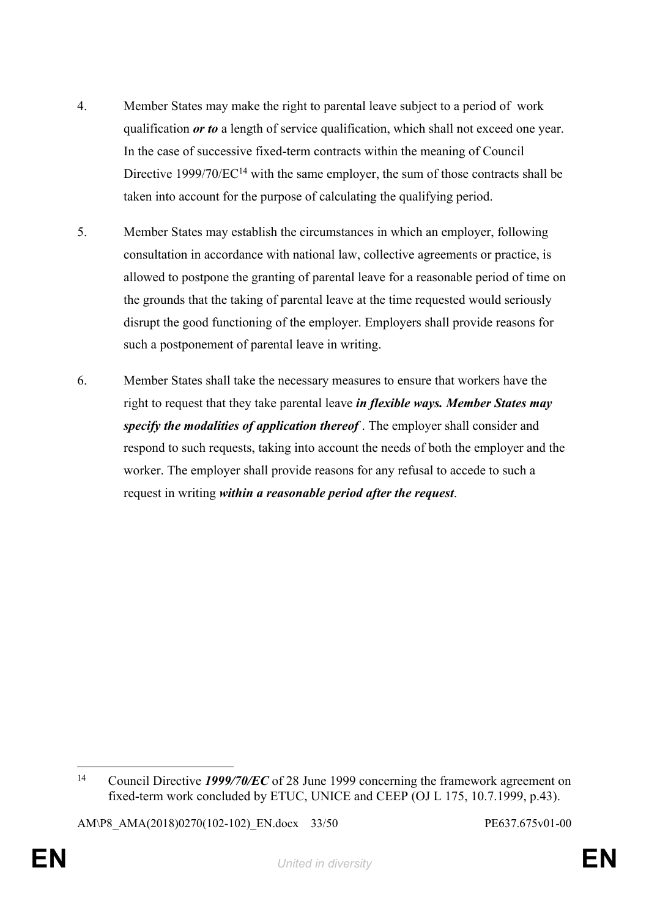- 4. Member States may make the right to parental leave subject to a period of work qualification *or to* a length of service qualification, which shall not exceed one year. In the case of successive fixed-term contracts within the meaning of Council Directive 1999/70/EC<sup>14</sup> with the same employer, the sum of those contracts shall be taken into account for the purpose of calculating the qualifying period.
- 5. Member States may establish the circumstances in which an employer, following consultation in accordance with national law, collective agreements or practice, is allowed to postpone the granting of parental leave for a reasonable period of time on the grounds that the taking of parental leave at the time requested would seriously disrupt the good functioning of the employer. Employers shall provide reasons for such a postponement of parental leave in writing.
- 6. Member States shall take the necessary measures to ensure that workers have the right to request that they take parental leave *in flexible ways. Member States may specify the modalities of application thereof* . The employer shall consider and respond to such requests, taking into account the needs of both the employer and the worker. The employer shall provide reasons for any refusal to accede to such a request in writing *within a reasonable period after the request*.

<sup>14</sup> Council Directive *1999/70/EC* of 28 June 1999 concerning the framework agreement on fixed-term work concluded by ETUC, UNICE and CEEP (OJ L 175, 10.7.1999, p.43).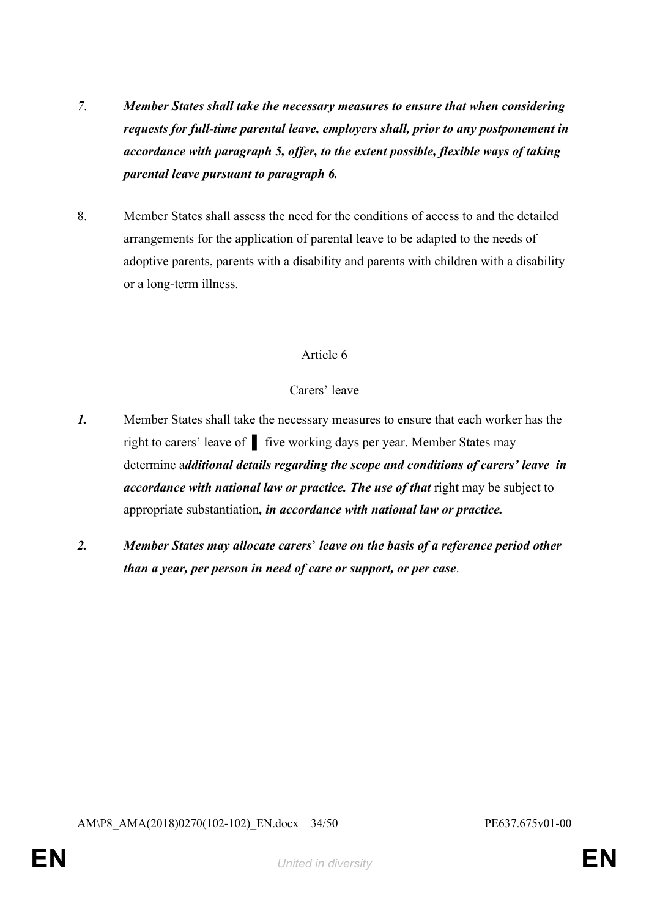- *7*. *Member States shall take the necessary measures to ensure that when considering requests for full-time parental leave, employers shall, prior to any postponement in accordance with paragraph 5, offer, to the extent possible, flexible ways of taking parental leave pursuant to paragraph 6.*
- 8. Member States shall assess the need for the conditions of access to and the detailed arrangements for the application of parental leave to be adapted to the needs of adoptive parents, parents with a disability and parents with children with a disability or a long-term illness.

## Carers' leave

- *1.* Member States shall take the necessary measures to ensure that each worker has the right to carers' leave of ▌ five working days per year. Member States may determine a*dditional details regarding the scope and conditions of carers' leave in accordance with national law or practice. The use of that* right may be subject to appropriate substantiation*, in accordance with national law or practice.*
- *2. Member States may allocate carers*' *leave on the basis of a reference period other than a year, per person in need of care or support, or per case*.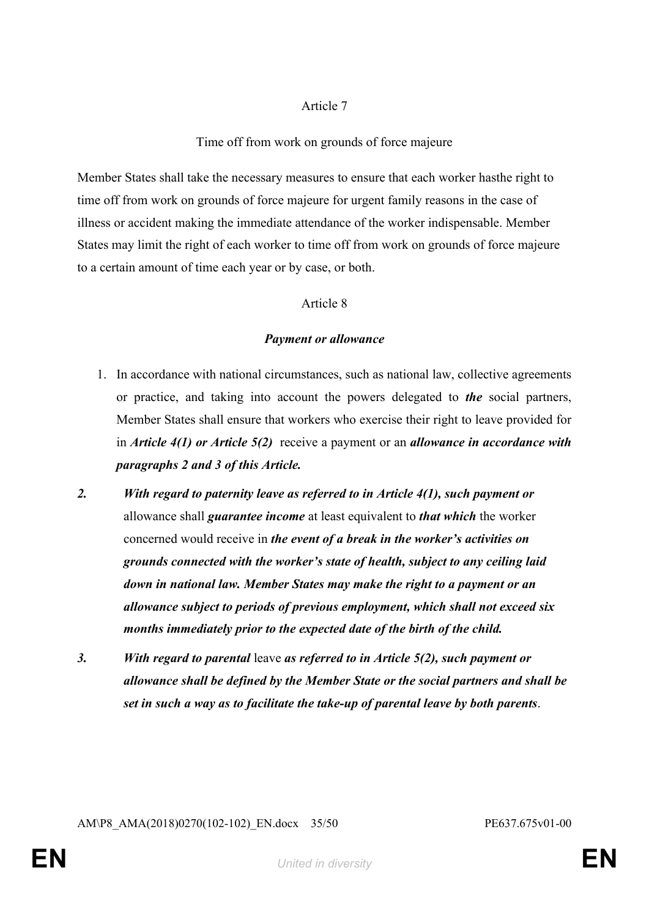#### Time off from work on grounds of force majeure

Member States shall take the necessary measures to ensure that each worker hasthe right to time off from work on grounds of force majeure for urgent family reasons in the case of illness or accident making the immediate attendance of the worker indispensable. Member States may limit the right of each worker to time off from work on grounds of force majeure to a certain amount of time each year or by case, or both.

#### Article 8

#### *Payment or allowance*

- 1. In accordance with national circumstances, such as national law, collective agreements or practice, and taking into account the powers delegated to *the* social partners, Member States shall ensure that workers who exercise their right to leave provided for in *Article 4(1) or Article 5(2)* receive a payment or an *allowance in accordance with paragraphs 2 and 3 of this Article.*
- *2. With regard to paternity leave as referred to in Article 4(1), such payment or* allowance shall *guarantee income* at least equivalent to *that which* the worker concerned would receive in *the event of a break in the worker's activities on grounds connected with the worker's state of health, subject to any ceiling laid down in national law. Member States may make the right to a payment or an allowance subject to periods of previous employment, which shall not exceed six months immediately prior to the expected date of the birth of the child.*
- *3. With regard to parental* leave *as referred to in Article 5(2), such payment or allowance shall be defined by the Member State or the social partners and shall be set in such a way as to facilitate the take-up of parental leave by both parents*.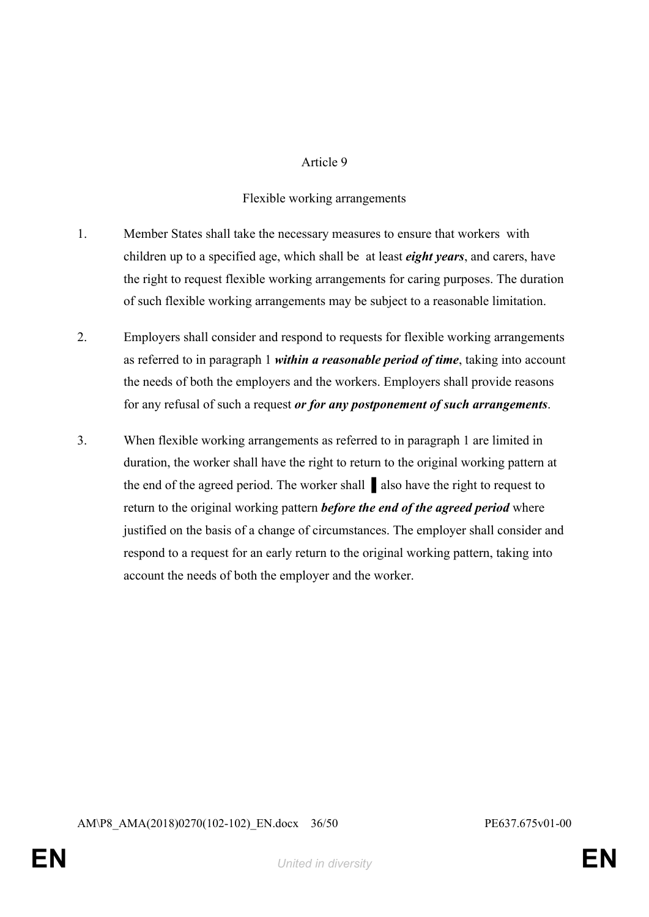#### Flexible working arrangements

- 1. Member States shall take the necessary measures to ensure that workers with children up to a specified age, which shall be at least *eight years*, and carers, have the right to request flexible working arrangements for caring purposes. The duration of such flexible working arrangements may be subject to a reasonable limitation.
- 2. Employers shall consider and respond to requests for flexible working arrangements as referred to in paragraph 1 *within a reasonable period of time*, taking into account the needs of both the employers and the workers. Employers shall provide reasons for any refusal of such a request *or for any postponement of such arrangements*.
- 3. When flexible working arrangements as referred to in paragraph 1 are limited in duration, the worker shall have the right to return to the original working pattern at the end of the agreed period. The worker shall ▌also have the right to request to return to the original working pattern *before the end of the agreed period* where justified on the basis of a change of circumstances. The employer shall consider and respond to a request for an early return to the original working pattern, taking into account the needs of both the employer and the worker.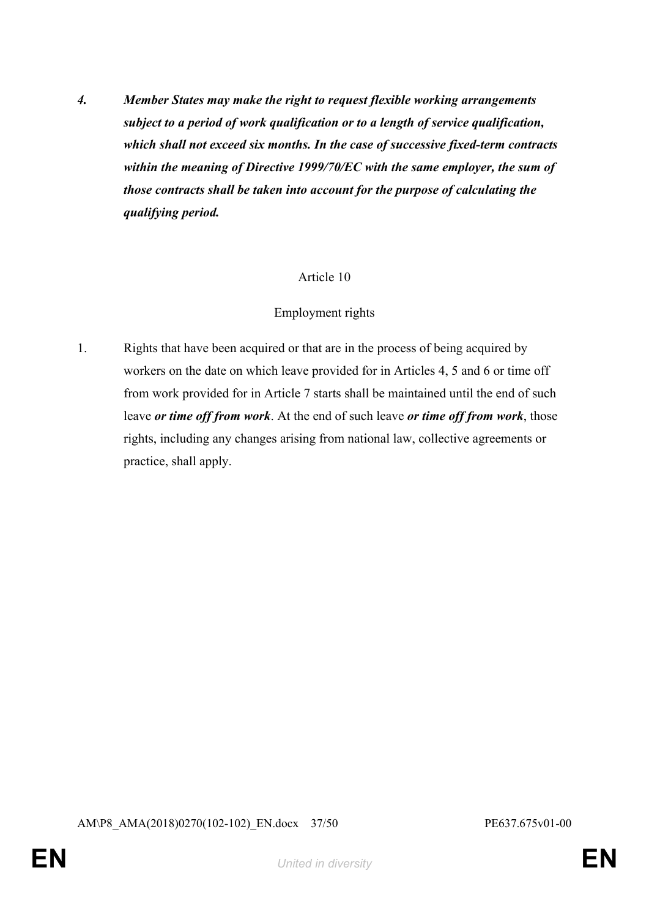*4. Member States may make the right to request flexible working arrangements subject to a period of work qualification or to a length of service qualification, which shall not exceed six months. In the case of successive fixed-term contracts within the meaning of Directive 1999/70/EC with the same employer, the sum of those contracts shall be taken into account for the purpose of calculating the qualifying period.*

#### Article 10

#### Employment rights

1. Rights that have been acquired or that are in the process of being acquired by workers on the date on which leave provided for in Articles 4, 5 and 6 or time off from work provided for in Article 7 starts shall be maintained until the end of such leave *or time off from work*. At the end of such leave *or time off from work*, those rights, including any changes arising from national law, collective agreements or practice, shall apply.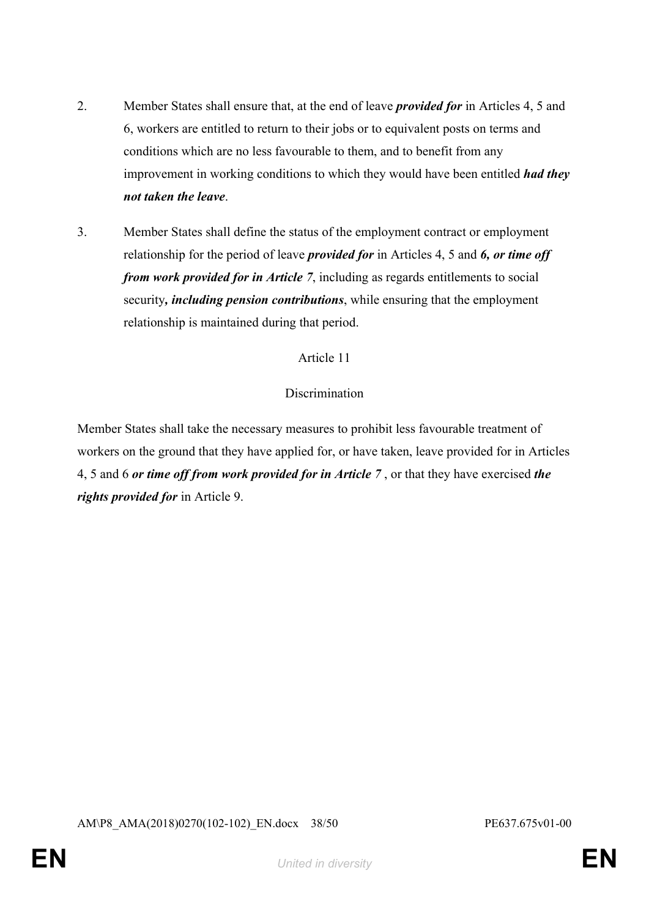- 2. Member States shall ensure that, at the end of leave *provided for* in Articles 4, 5 and 6, workers are entitled to return to their jobs or to equivalent posts on terms and conditions which are no less favourable to them, and to benefit from any improvement in working conditions to which they would have been entitled *had they not taken the leave*.
- 3. Member States shall define the status of the employment contract or employment relationship for the period of leave *provided for* in Articles 4, 5 and *6, or time off from work provided for in Article 7*, including as regards entitlements to social security*, including pension contributions*, while ensuring that the employment relationship is maintained during that period.

#### **Discrimination**

Member States shall take the necessary measures to prohibit less favourable treatment of workers on the ground that they have applied for, or have taken, leave provided for in Articles 4, 5 and 6 *or time off from work provided for in Article 7* , or that they have exercised *the rights provided for* in Article 9.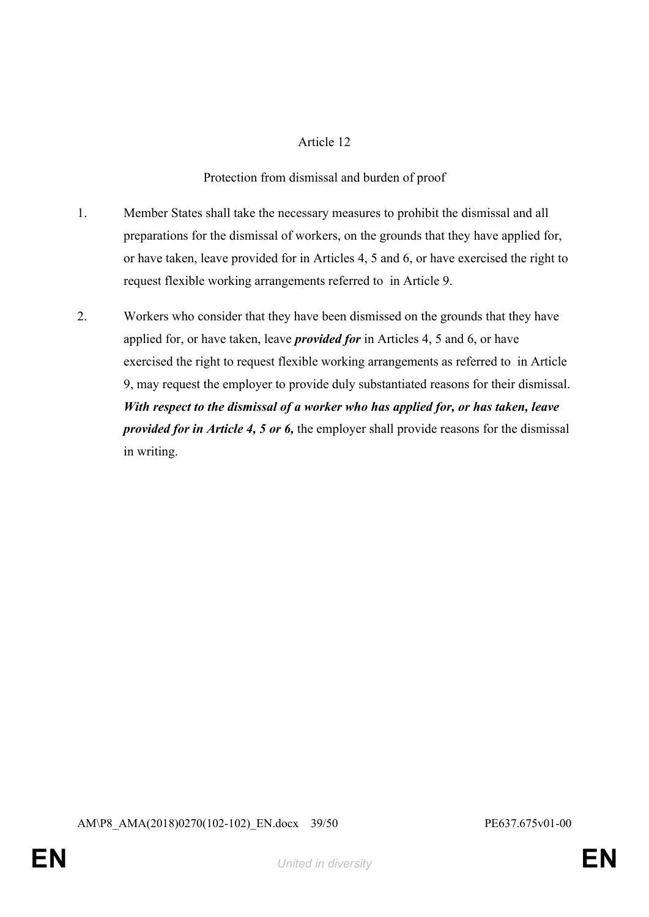Protection from dismissal and burden of proof

- 1. Member States shall take the necessary measures to prohibit the dismissal and all preparations for the dismissal of workers, on the grounds that they have applied for, or have taken, leave provided for in Articles 4, 5 and 6, or have exercised the right to request flexible working arrangements referred to in Article 9.
- 2. Workers who consider that they have been dismissed on the grounds that they have applied for, or have taken, leave *provided for* in Articles 4, 5 and 6, or have exercised the right to request flexible working arrangements as referred to in Article 9, may request the employer to provide duly substantiated reasons for their dismissal. *With respect to the dismissal of a worker who has applied for, or has taken, leave provided for in Article 4, 5 or 6,* the employer shall provide reasons for the dismissal in writing.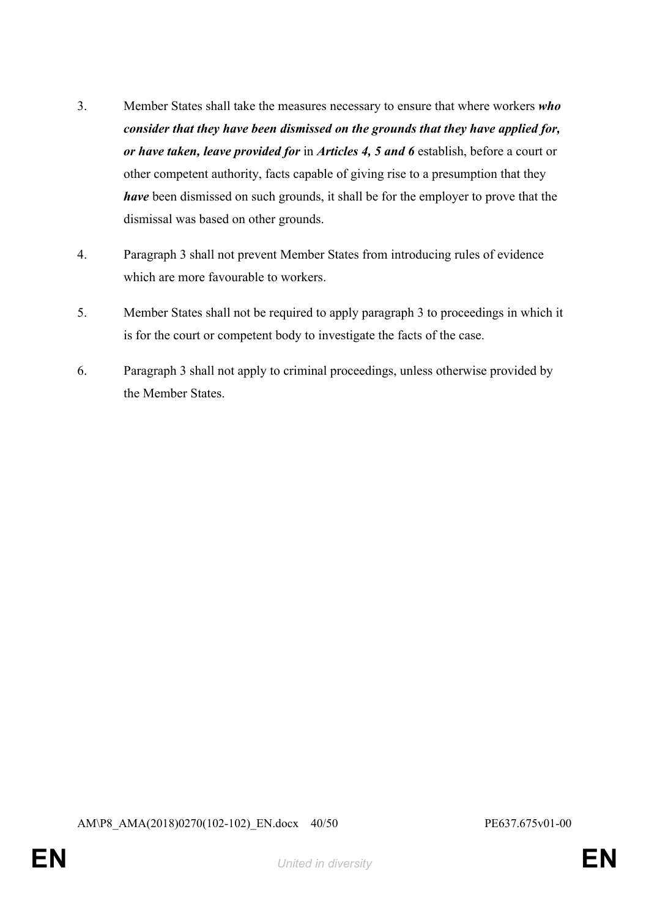- 3. Member States shall take the measures necessary to ensure that where workers *who consider that they have been dismissed on the grounds that they have applied for, or have taken, leave provided for* in *Articles 4, 5 and 6* establish, before a court or other competent authority, facts capable of giving rise to a presumption that they *have* been dismissed on such grounds, it shall be for the employer to prove that the dismissal was based on other grounds.
- 4. Paragraph 3 shall not prevent Member States from introducing rules of evidence which are more favourable to workers.
- 5. Member States shall not be required to apply paragraph 3 to proceedings in which it is for the court or competent body to investigate the facts of the case.
- 6. Paragraph 3 shall not apply to criminal proceedings, unless otherwise provided by the Member States.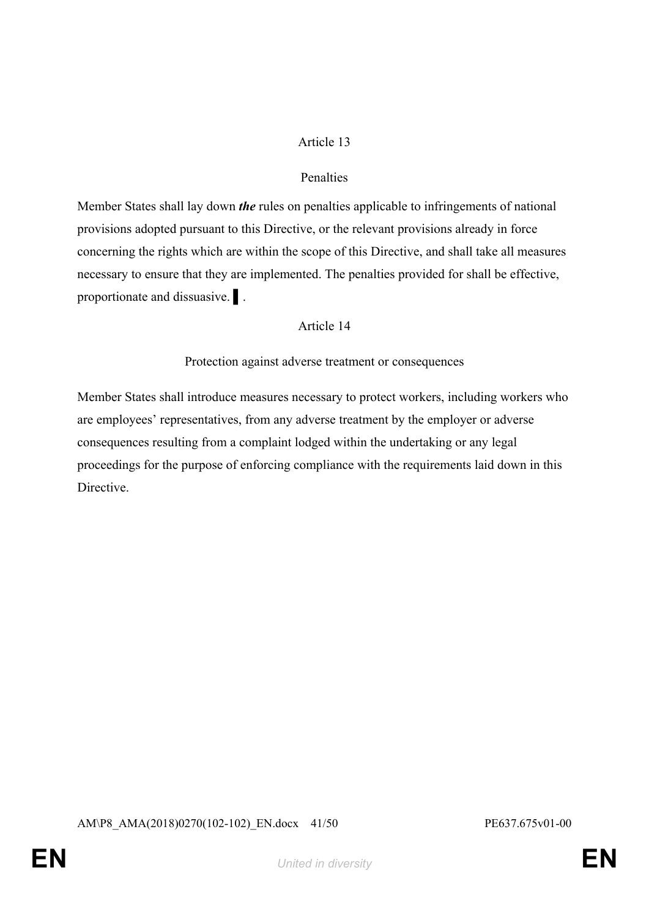#### Penalties

Member States shall lay down *the* rules on penalties applicable to infringements of national provisions adopted pursuant to this Directive, or the relevant provisions already in force concerning the rights which are within the scope of this Directive, and shall take all measures necessary to ensure that they are implemented. The penalties provided for shall be effective, proportionate and dissuasive. ▌.

#### Article 14

Protection against adverse treatment or consequences

Member States shall introduce measures necessary to protect workers, including workers who are employees' representatives, from any adverse treatment by the employer or adverse consequences resulting from a complaint lodged within the undertaking or any legal proceedings for the purpose of enforcing compliance with the requirements laid down in this **Directive**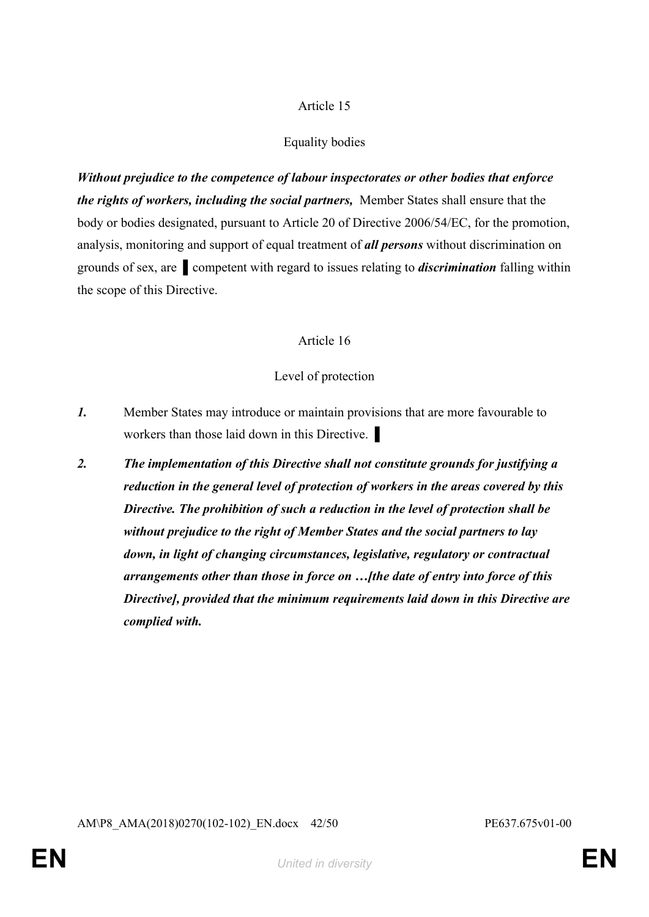## Equality bodies

*Without prejudice to the competence of labour inspectorates or other bodies that enforce the rights of workers, including the social partners,* Member States shall ensure that the body or bodies designated, pursuant to Article 20 of Directive 2006/54/EC, for the promotion, analysis, monitoring and support of equal treatment of *all persons* without discrimination on grounds of sex, are ▌competent with regard to issues relating to *discrimination* falling within the scope of this Directive.

#### Article 16

#### Level of protection

- *1.* Member States may introduce or maintain provisions that are more favourable to workers than those laid down in this Directive.
- *2. The implementation of this Directive shall not constitute grounds for justifying a reduction in the general level of protection of workers in the areas covered by this Directive. The prohibition of such a reduction in the level of protection shall be without prejudice to the right of Member States and the social partners to lay down, in light of changing circumstances, legislative, regulatory or contractual arrangements other than those in force on …[the date of entry into force of this Directive], provided that the minimum requirements laid down in this Directive are complied with.*

AM\P8\_AMA(2018)0270(102-102)\_EN.docx 42/50 PE637.675v01-00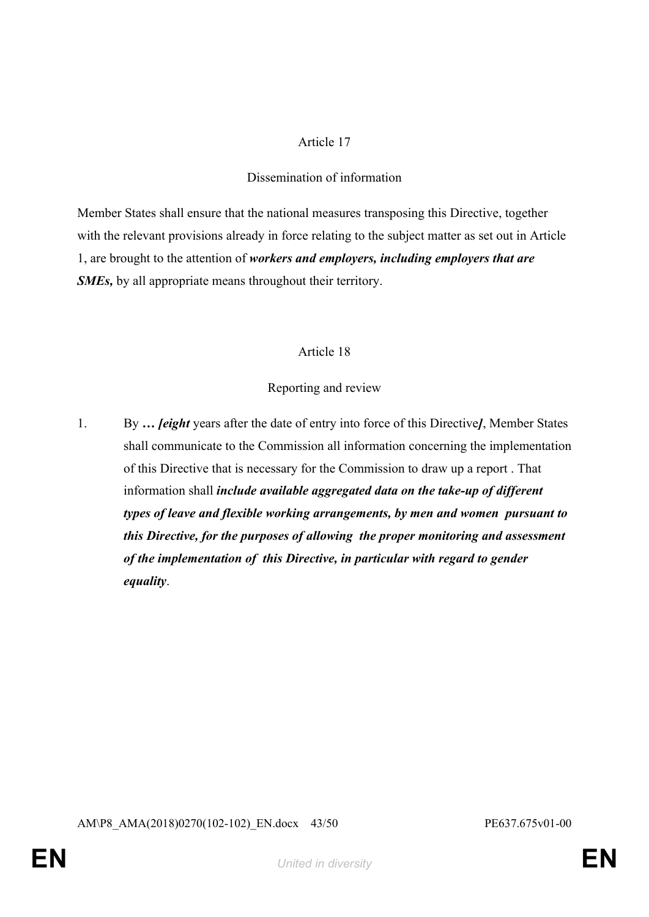#### Dissemination of information

Member States shall ensure that the national measures transposing this Directive, together with the relevant provisions already in force relating to the subject matter as set out in Article 1, are brought to the attention of *workers and employers, including employers that are SMEs,* by all appropriate means throughout their territory.

#### Article 18

## Reporting and review

1. By *… [eight* years after the date of entry into force of this Directive*]*, Member States shall communicate to the Commission all information concerning the implementation of this Directive that is necessary for the Commission to draw up a report . That information shall *include available aggregated data on the take-up of different types of leave and flexible working arrangements, by men and women pursuant to this Directive, for the purposes of allowing the proper monitoring and assessment of the implementation of this Directive, in particular with regard to gender equality*.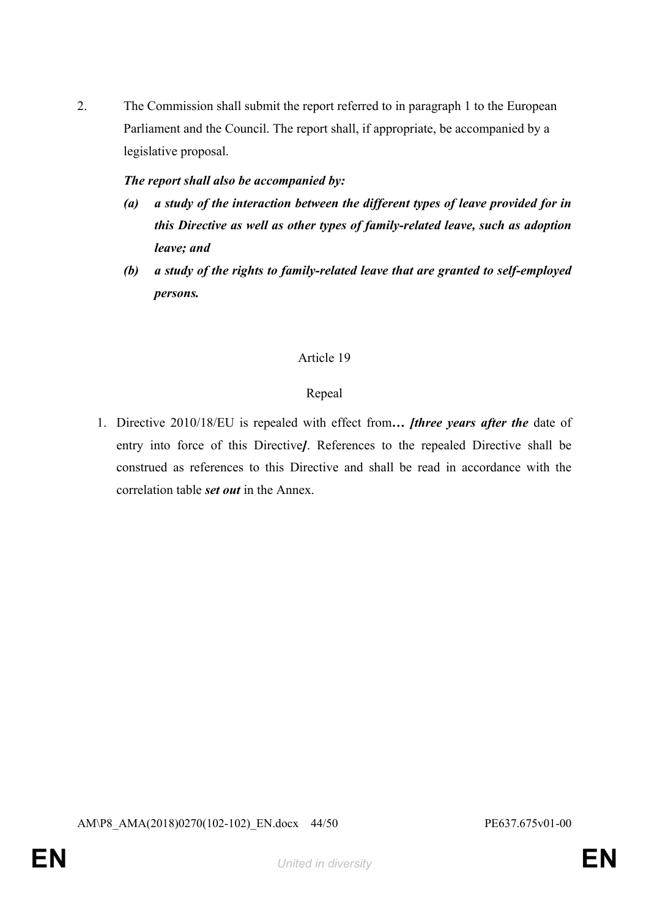2. The Commission shall submit the report referred to in paragraph 1 to the European Parliament and the Council. The report shall, if appropriate, be accompanied by a legislative proposal.

#### *The report shall also be accompanied by:*

- *(a) a study of the interaction between the different types of leave provided for in this Directive as well as other types of family-related leave, such as adoption leave; and*
- *(b) a study of the rights to family-related leave that are granted to self-employed persons.*

#### Article 19

#### Repeal

1. Directive 2010/18/EU is repealed with effect from*… [three years after the* date of entry into force of this Directive*]*. References to the repealed Directive shall be construed as references to this Directive and shall be read in accordance with the correlation table *set out* in the Annex.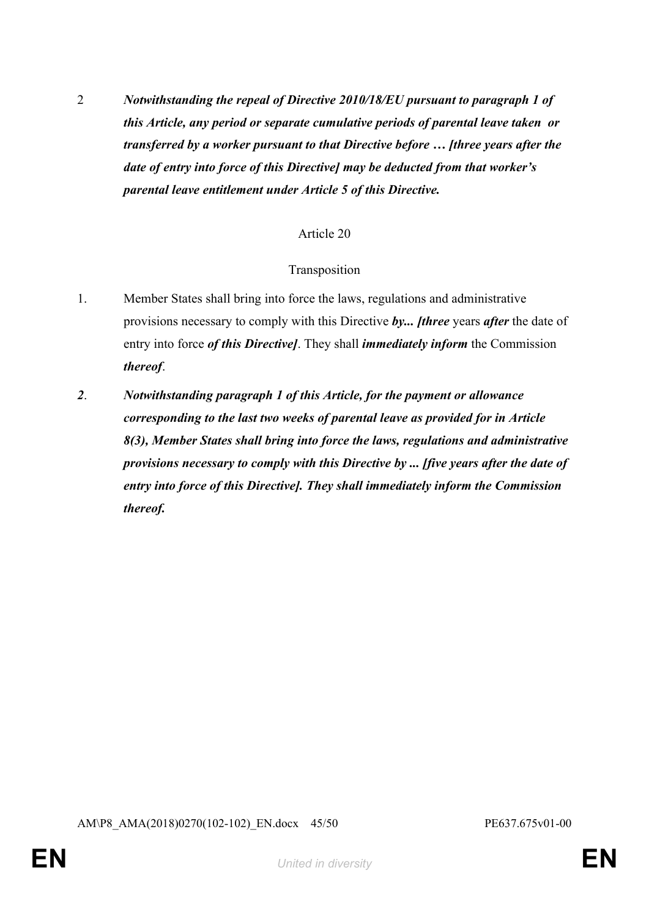2 *Notwithstanding the repeal of Directive 2010/18/EU pursuant to paragraph 1 of this Article, any period or separate cumulative periods of parental leave taken or transferred by a worker pursuant to that Directive before … [three years after the date of entry into force of this Directive] may be deducted from that worker's parental leave entitlement under Article 5 of this Directive.*

## Article 20

#### Transposition

- 1. Member States shall bring into force the laws, regulations and administrative provisions necessary to comply with this Directive *by... [three* years *after* the date of entry into force *of this Directive]*. They shall *immediately inform* the Commission *thereof*.
- *2*. *Notwithstanding paragraph 1 of this Article, for the payment or allowance corresponding to the last two weeks of parental leave as provided for in Article 8(3), Member States shall bring into force the laws, regulations and administrative provisions necessary to comply with this Directive by ... [five years after the date of entry into force of this Directive]. They shall immediately inform the Commission thereof.*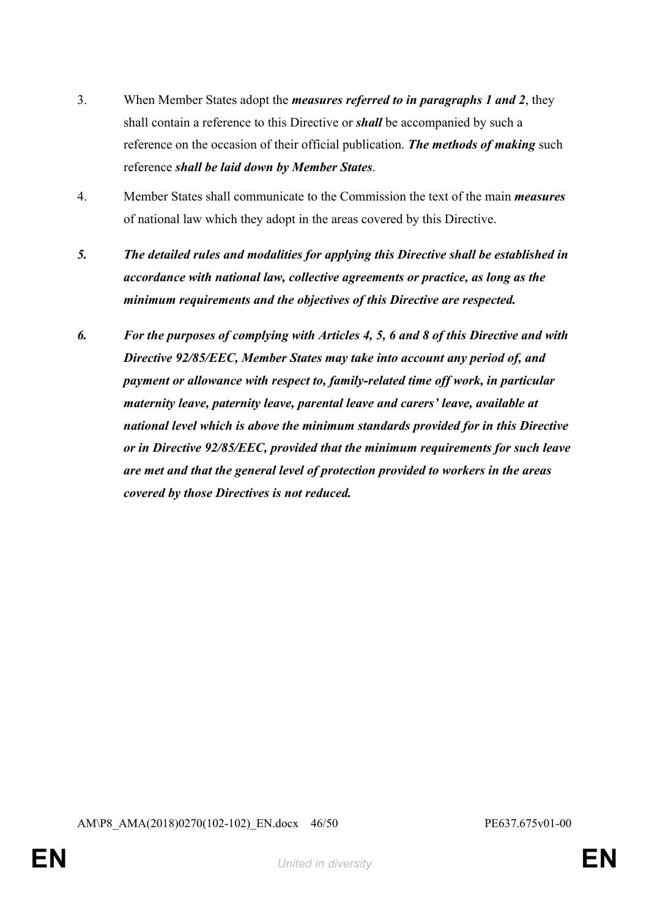- 3. When Member States adopt the *measures referred to in paragraphs 1 and 2*, they shall contain a reference to this Directive or *shall* be accompanied by such a reference on the occasion of their official publication. *The methods of making* such reference *shall be laid down by Member States*.
- 4. Member States shall communicate to the Commission the text of the main *measures* of national law which they adopt in the areas covered by this Directive.
- *5. The detailed rules and modalities for applying this Directive shall be established in accordance with national law, collective agreements or practice, as long as the minimum requirements and the objectives of this Directive are respected.*
- *6. For the purposes of complying with Articles 4, 5, 6 and 8 of this Directive and with Directive 92/85/EEC, Member States may take into account any period of, and payment or allowance with respect to, family-related time off work, in particular maternity leave, paternity leave, parental leave and carers' leave, available at national level which is above the minimum standards provided for in this Directive or in Directive 92/85/EEC, provided that the minimum requirements for such leave are met and that the general level of protection provided to workers in the areas covered by those Directives is not reduced.*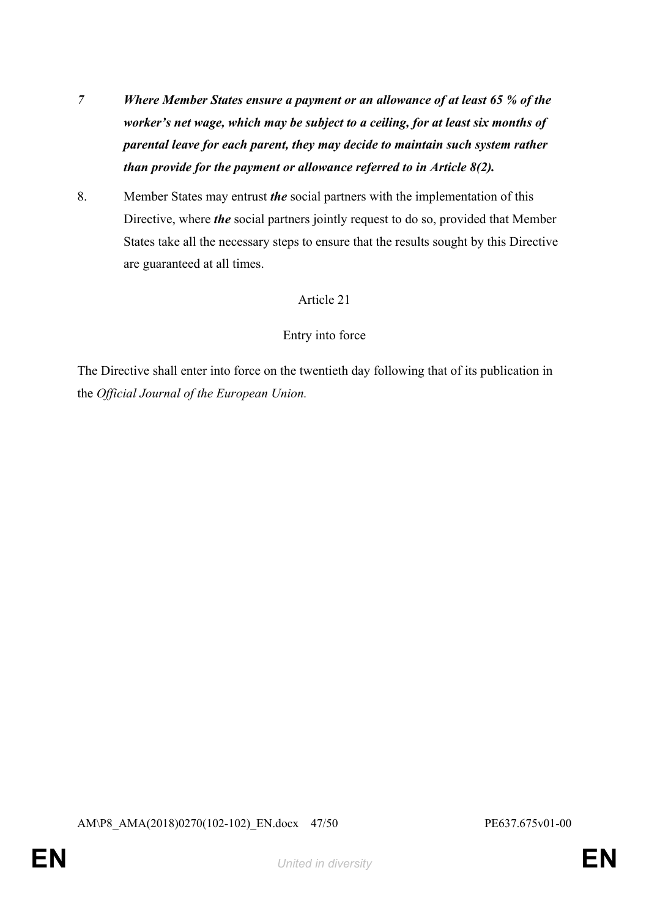- *7 Where Member States ensure a payment or an allowance of at least 65 % of the worker's net wage, which may be subject to a ceiling, for at least six months of parental leave for each parent, they may decide to maintain such system rather than provide for the payment or allowance referred to in Article 8(2).*
- 8. Member States may entrust *the* social partners with the implementation of this Directive, where *the* social partners jointly request to do so, provided that Member States take all the necessary steps to ensure that the results sought by this Directive are guaranteed at all times.

#### Entry into force

The Directive shall enter into force on the twentieth day following that of its publication in the *Official Journal of the European Union.*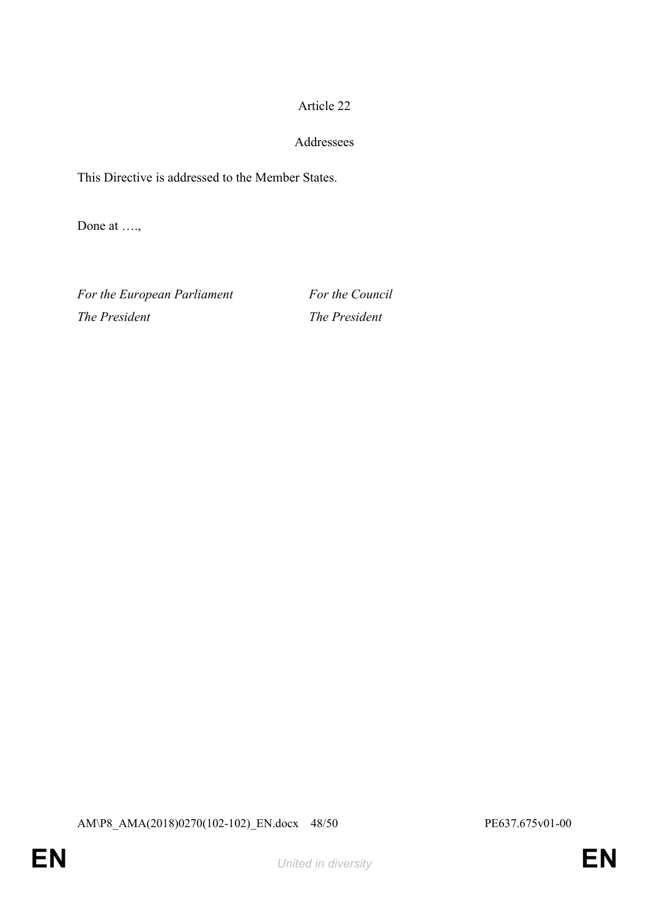## Addressees

This Directive is addressed to the Member States.

Done at ….,

For the European Parliament For the Council *The President The President*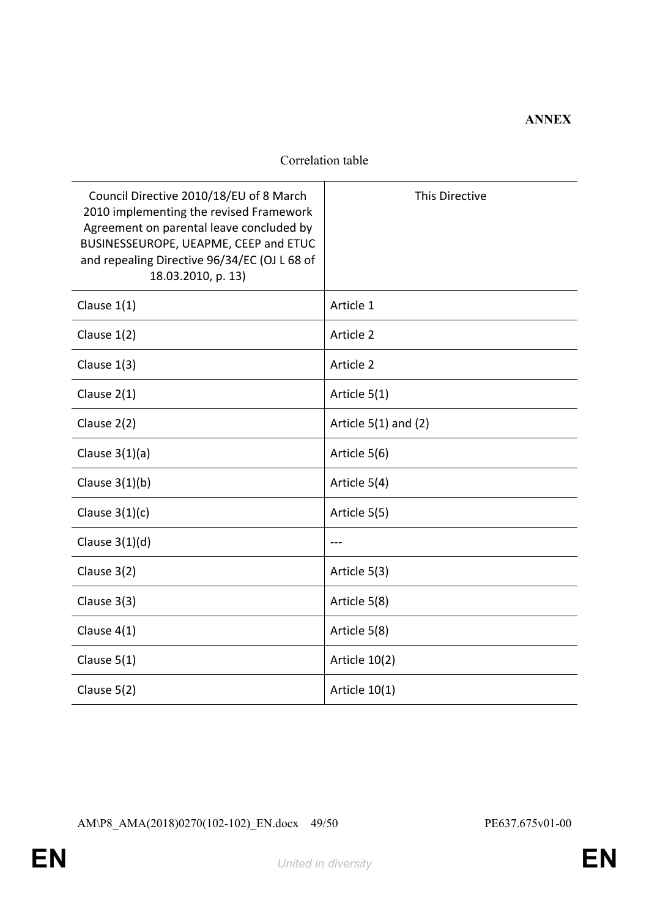## **ANNEX**

#### Correlation table

| Council Directive 2010/18/EU of 8 March<br>2010 implementing the revised Framework<br>Agreement on parental leave concluded by<br>BUSINESSEUROPE, UEAPME, CEEP and ETUC<br>and repealing Directive 96/34/EC (OJ L 68 of<br>18.03.2010, p. 13) | This Directive           |
|-----------------------------------------------------------------------------------------------------------------------------------------------------------------------------------------------------------------------------------------------|--------------------------|
| Clause $1(1)$                                                                                                                                                                                                                                 | Article 1                |
| Clause $1(2)$                                                                                                                                                                                                                                 | Article 2                |
| Clause $1(3)$                                                                                                                                                                                                                                 | Article 2                |
| Clause $2(1)$                                                                                                                                                                                                                                 | Article 5(1)             |
| Clause $2(2)$                                                                                                                                                                                                                                 | Article $5(1)$ and $(2)$ |
| Clause $3(1)(a)$                                                                                                                                                                                                                              | Article 5(6)             |
| Clause $3(1)(b)$                                                                                                                                                                                                                              | Article 5(4)             |
| Clause $3(1)(c)$                                                                                                                                                                                                                              | Article 5(5)             |
| Clause $3(1)(d)$                                                                                                                                                                                                                              |                          |
| Clause 3(2)                                                                                                                                                                                                                                   | Article 5(3)             |
| Clause $3(3)$                                                                                                                                                                                                                                 | Article 5(8)             |
| Clause $4(1)$                                                                                                                                                                                                                                 | Article 5(8)             |
| Clause $5(1)$                                                                                                                                                                                                                                 | Article 10(2)            |
| Clause 5(2)                                                                                                                                                                                                                                   | Article 10(1)            |